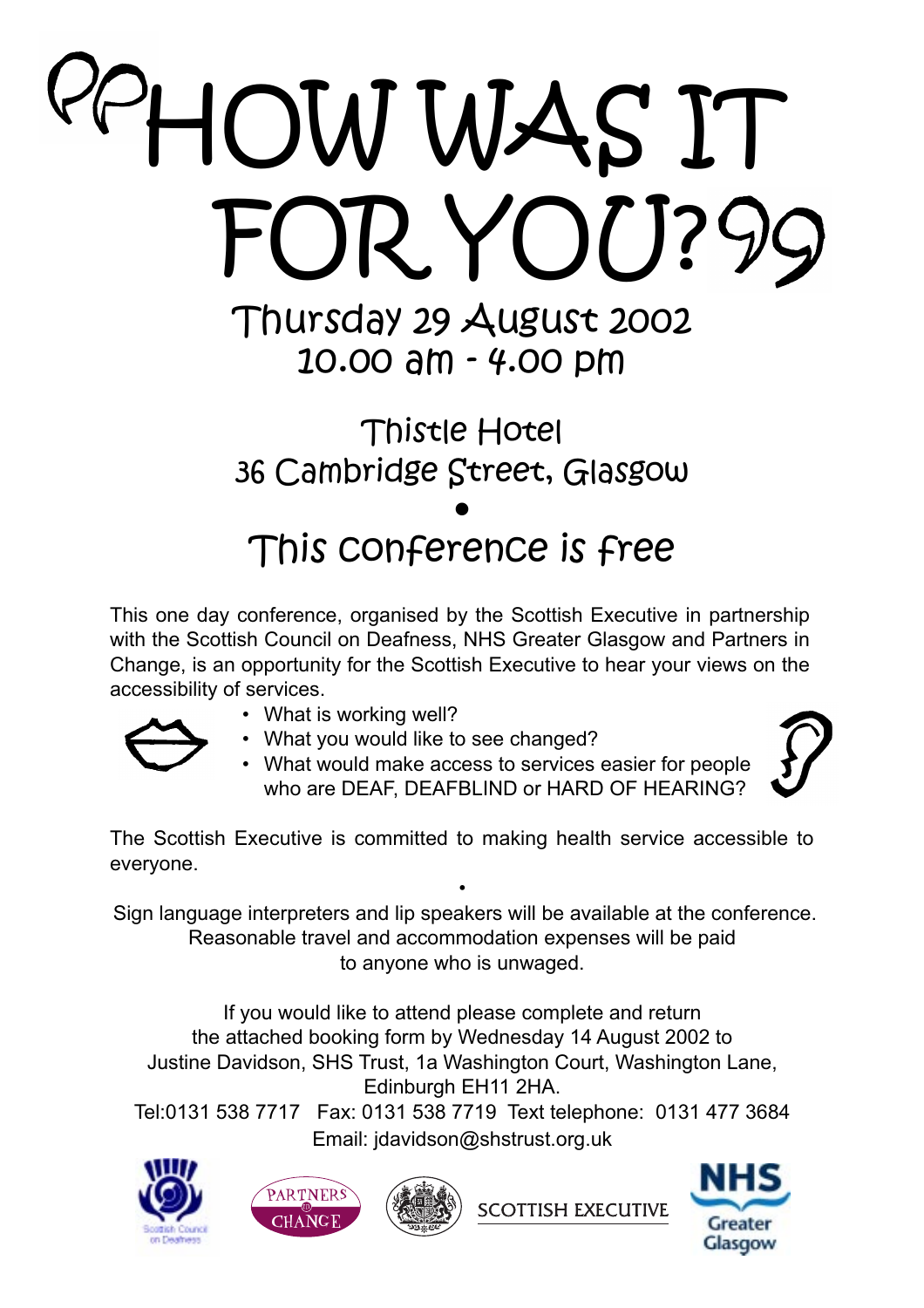# HOW WAS IT FOR YOU? 99 Thursday 29 August 2002

10.00 am - 4.00 pm

# Thistle Hotel 36 Cambridge Street, Glasgow • This conference is free

This one day conference, organised by the Scottish Executive in partnership with the Scottish Council on Deafness, NHS Greater Glasgow and Partners in Change, is an opportunity for the Scottish Executive to hear your views on the accessibility of services.

- What is working well?
- What you would like to see changed?
- What would make access to services easier for people who are DEAF, DEAFBLIND or HARD OF HEARING?



The Scottish Executive is committed to making health service accessible to everyone.

• Sign language interpreters and lip speakers will be available at the conference. Reasonable travel and accommodation expenses will be paid to anyone who is unwaged.

If you would like to attend please complete and return the attached booking form by Wednesday 14 August 2002 to Justine Davidson, SHS Trust, 1a Washington Court, Washington Lane, Edinburgh EH11 2HA.

Tel:0131 538 7717 Fax: 0131 538 7719 Text telephone: 0131 477 3684 Email: jdavidson@shstrust.org.uk







**SCOTTISH EXECUTIVE** 

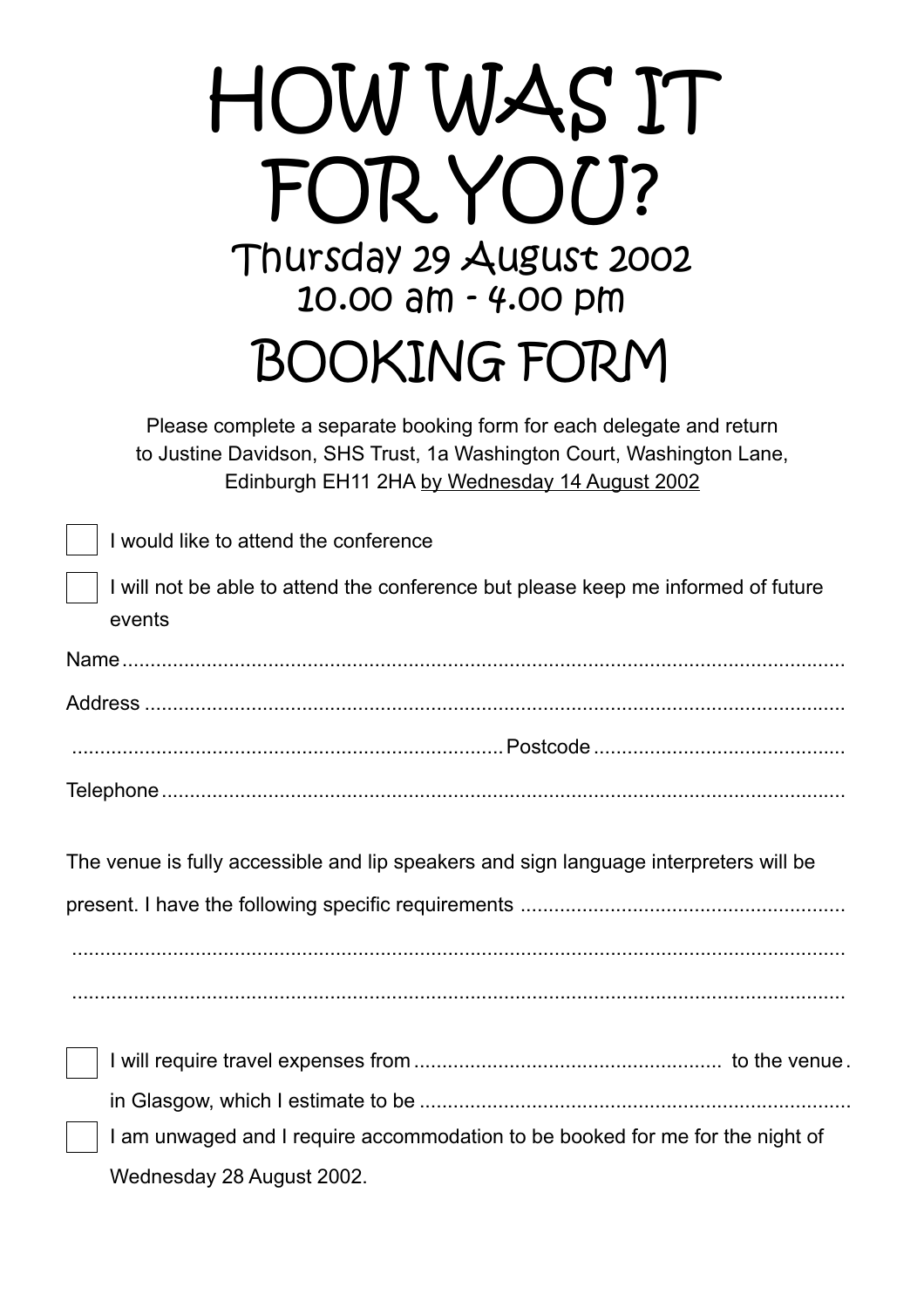| HOW WAS IT<br>FOR YOU?<br>Thursday 29 August 2002<br>10.00 am - 4.00 pm                                                                                                                         |  |  |  |
|-------------------------------------------------------------------------------------------------------------------------------------------------------------------------------------------------|--|--|--|
| <b>BOOKING FORM</b>                                                                                                                                                                             |  |  |  |
| Please complete a separate booking form for each delegate and return<br>to Justine Davidson, SHS Trust, 1a Washington Court, Washington Lane,<br>Edinburgh EH11 2HA by Wednesday 14 August 2002 |  |  |  |
| I would like to attend the conference                                                                                                                                                           |  |  |  |
| I will not be able to attend the conference but please keep me informed of future<br>events                                                                                                     |  |  |  |
|                                                                                                                                                                                                 |  |  |  |
|                                                                                                                                                                                                 |  |  |  |
|                                                                                                                                                                                                 |  |  |  |
|                                                                                                                                                                                                 |  |  |  |
|                                                                                                                                                                                                 |  |  |  |
| The venue is fully accessible and lip speakers and sign language interpreters will be                                                                                                           |  |  |  |
|                                                                                                                                                                                                 |  |  |  |
|                                                                                                                                                                                                 |  |  |  |
|                                                                                                                                                                                                 |  |  |  |
|                                                                                                                                                                                                 |  |  |  |
|                                                                                                                                                                                                 |  |  |  |
|                                                                                                                                                                                                 |  |  |  |
| I am unwaged and I require accommodation to be booked for me for the night of                                                                                                                   |  |  |  |

Wednesday 28 August 2002.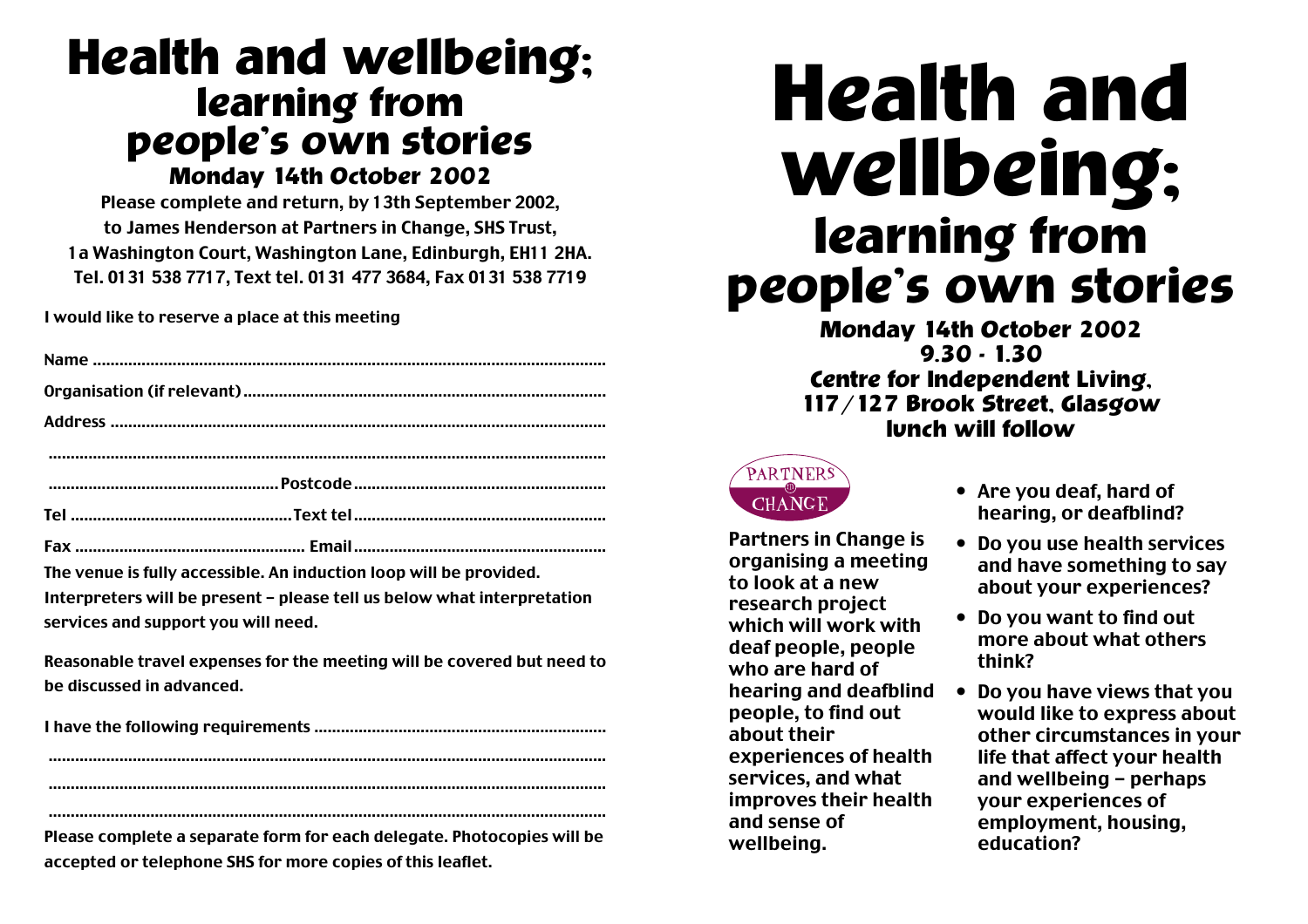# **Health and wellbeing; learning from people's own stories Monday 14th October 2002**

Please complete and return, by 13th September 2002, to James Henderson at Partners in Change, SHS Trust, 1a Washington Court, Washington Lane, Edinburgh, EH11 2HA. Tel. 0131 538 7717, Text tel. 0131 477 3684, Fax 0131 538 7719

I would like to reserve a place at this meeting

The venue is fully accessible. An induction loop will be provided.

Interpreters will be present - please tell us below what interpretation services and support you will need.

Reasonable travel expenses for the meeting will be covered but need to be discussed in advanced.

.............................................................................................................................. ..............................................................................................................................

Please complete a separate form for each delegate. Photocopies will be accepted or telephone SHS for more copies of this leaflet.

..............................................................................................................................

# **Health and wellbeing; learning from people's own stories**

**Monday 14th October 2002 9.30 - 1.30 Centre for Independent Living, 117/127 Brook Street, Glasgow lunch will follow**



Partners in Change is organising a meeting to look at a new research project which will work with deaf people, people who are hard of hearing and deafblind people, to find out about their experiences of health services, and what improves their health and sense of wellbeing.

- Are you deaf, hard of hearing, or deafblind?
- Do you use health services and have something to say about your experiences?
- Do you want to find out more about what others think?
- Do you have views that you would like to express about other circumstances in your life that affect your health and wellbeing - perhaps your experiences of employment, housing, education?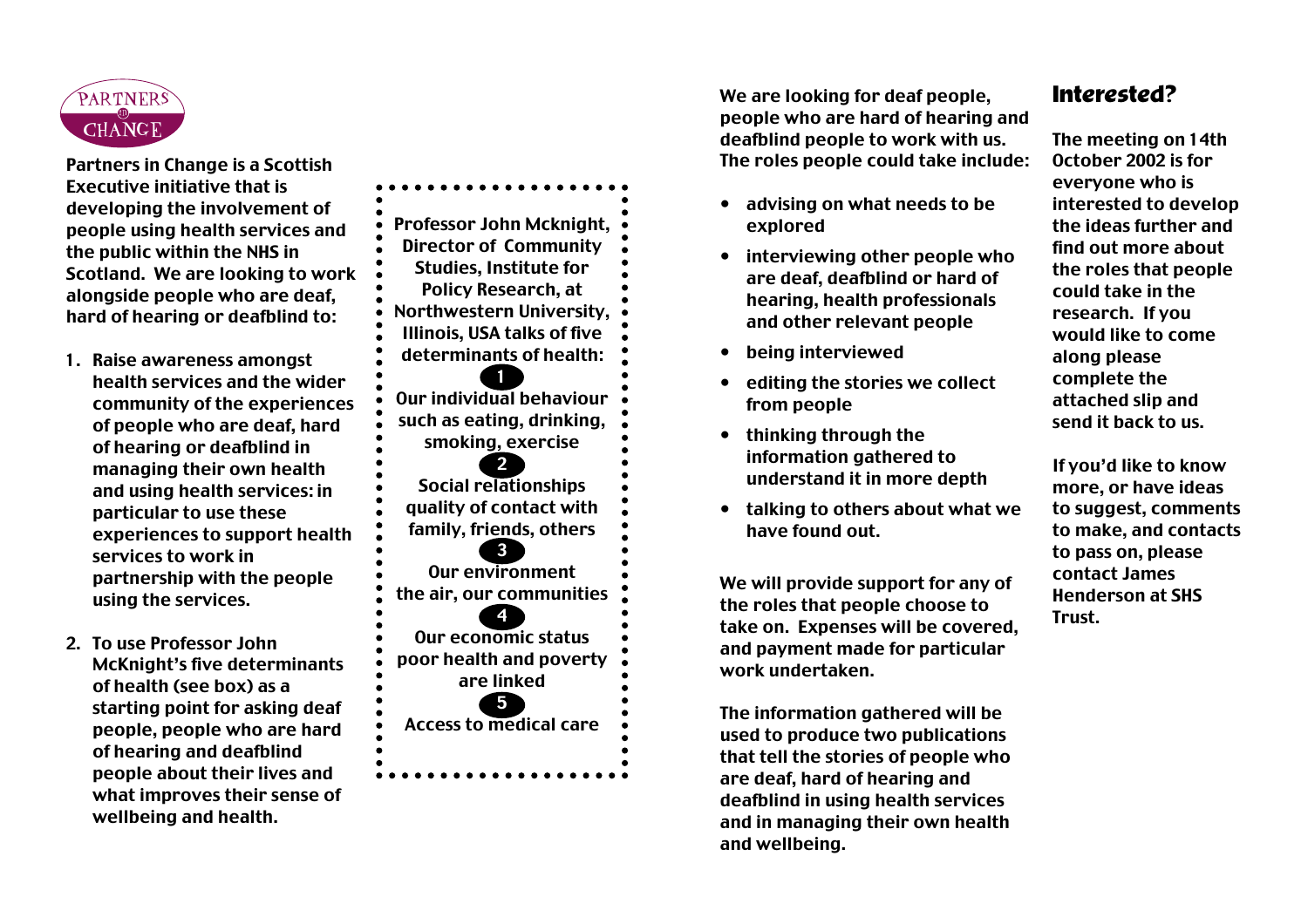

Partners in Change is a Scottish Executive initiative that is developing the involvement of people using health services and the public within the NHS in Scotland. We are looking to work alongside people who are deaf, hard of hearing or deafblind to:

- 1. Raise awareness amongst health services and the wider community of the experiences of people who are deaf, hard of hearing or deafblind in managing their own health and using health services: in particular to use these experiences to support health services to work in partnership with the people using the services.
- 2. To use Professor John McKnight's five determinants of health (see box) as a starting point for asking deaf people, people who are hard of hearing and deafblind people about their lives and what improves their sense of wellbeing and health.

Professor John Mcknight, Director of Community Studies, Institute for Policy Research, at Northwestern University, Illinois, USA talks of five determinants of health: 1 Our individual behaviour such as eating, drinking, smoking, exercise 2 Social relationships quality of contact with family, friends, others 3 Our environment the air, our communities 4 Our economic status poor health and poverty are linked 5 Access to medical care

We are looking for deaf people, people who are hard of hearing and deafblind people to work with us. The roles people could take include:

- advising on what needs to be explored
- interviewing other people who are deaf, deafblind or hard of hearing, health professionals and other relevant people
- being interviewed
- editing the stories we collect from people
- thinking through the information gathered to understand it in more depth
- talking to others about what we have found out.

We will provide support for any of the roles that people choose to take on. Expenses will be covered, and payment made for particular work undertaken.

The information gathered will be used to produce two publications that tell the stories of people who are deaf, hard of hearing and deafblind in using health services and in managing their own health and wellbeing.

#### **Interested?**

The meeting on 14th October 2002 is for everyone who is interested to develop the ideas further and find out more about the roles that people could take in the research. If you would like to come along please complete the attached slip and send it back to us.

If you'd like to know more, or have ideas to suggest, comments to make, and contacts to pass on, please contact James Henderson at SHS Trust.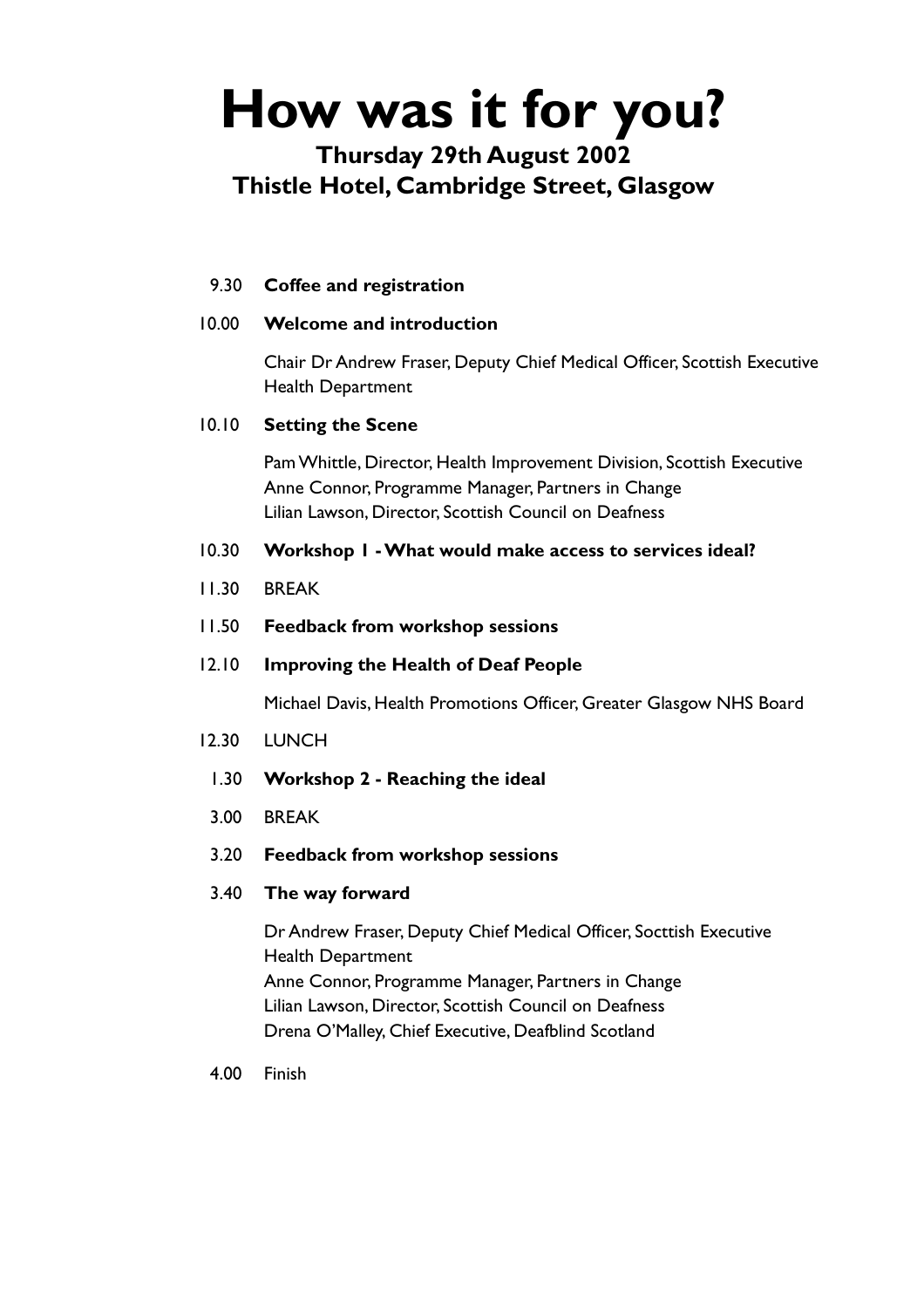# **How was it for you?**

#### **Thursday 29th August 2002 Thistle Hotel, Cambridge Street, Glasgow**

#### 9.30 **Coffee and registration**

#### 10.00 **Welcome and introduction**

Chair Dr Andrew Fraser, Deputy Chief Medical Officer, Scottish Executive Health Department

#### 10.10 **Setting the Scene**

Pam Whittle, Director, Health Improvement Division, Scottish Executive Anne Connor, Programme Manager, Partners in Change Lilian Lawson, Director, Scottish Council on Deafness

#### 10.30 **Workshop 1 - What would make access to services ideal?**

- 11.30 BREAK
- 11.50 **Feedback from workshop sessions**
- 12.10 **Improving the Health of Deaf People**

Michael Davis, Health Promotions Officer, Greater Glasgow NHS Board

- 12.30 LUNCH
	- 1.30 **Workshop 2 Reaching the ideal**
- 3.00 BREAK
- 3.20 **Feedback from workshop sessions**

#### 3.40 **The way forward**

Dr Andrew Fraser, Deputy Chief Medical Officer, Socttish Executive Health Department Anne Connor, Programme Manager, Partners in Change Lilian Lawson, Director, Scottish Council on Deafness Drena O'Malley, Chief Executive, Deafblind Scotland

4.00 Finish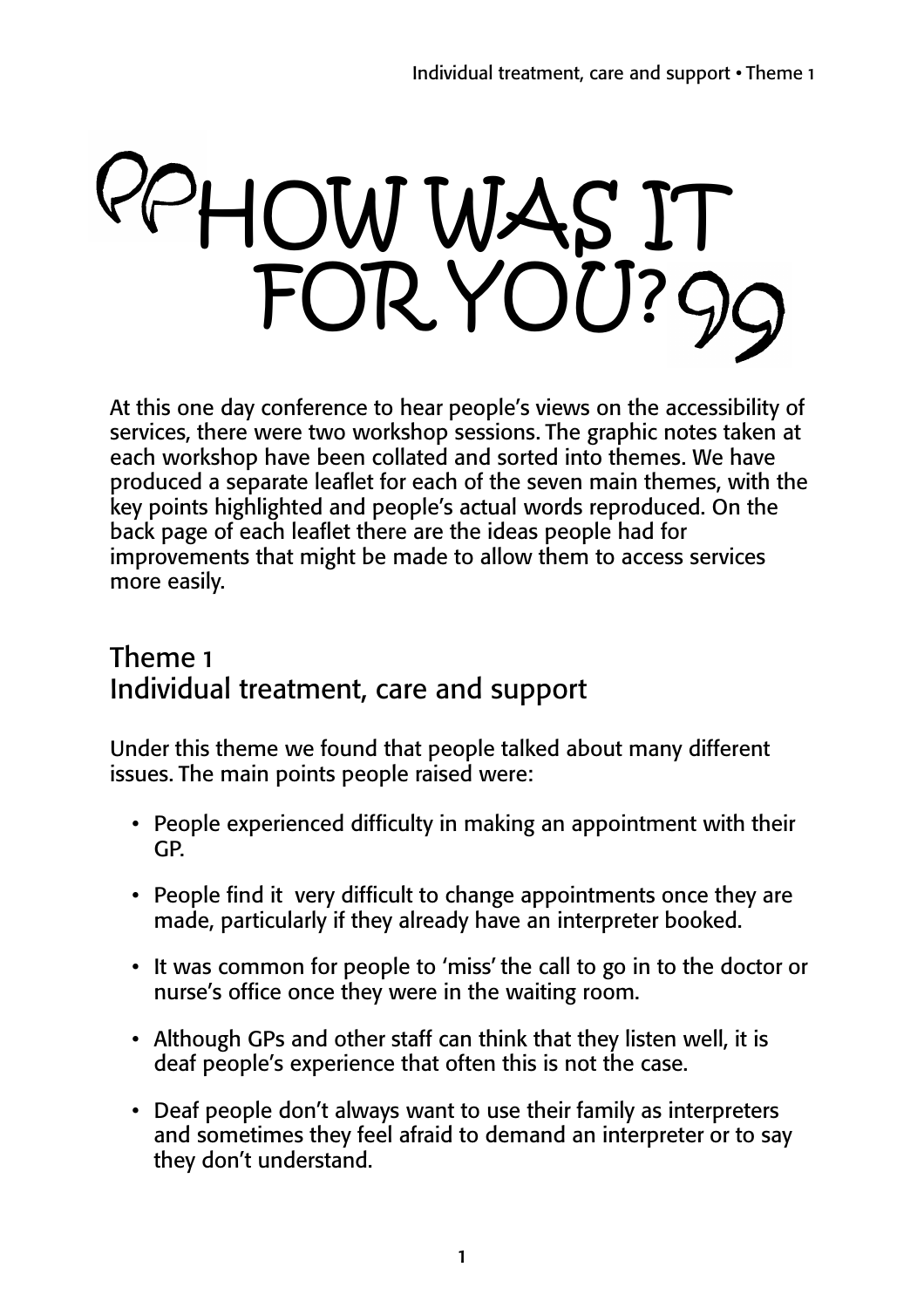# HOW WAS IT FOR YOU?

At this one day conference to hear people's views on the accessibility of services, there were two workshop sessions. The graphic notes taken at each workshop have been collated and sorted into themes. We have produced a separate leaflet for each of the seven main themes, with the key points highlighted and people's actual words reproduced. On the back page of each leaflet there are the ideas people had for improvements that might be made to allow them to access services more easily.

### Theme 1 Individual treatment, care and support

Under this theme we found that people talked about many different issues. The main points people raised were:

- People experienced difficulty in making an appointment with their GP.
- People find it very difficult to change appointments once they are made, particularly if they already have an interpreter booked.
- It was common for people to 'miss' the call to go in to the doctor or nurse's office once they were in the waiting room.
- Although GPs and other staff can think that they listen well, it is deaf people's experience that often this is not the case.
- Deaf people don't always want to use their family as interpreters and sometimes they feel afraid to demand an interpreter or to say they don't understand.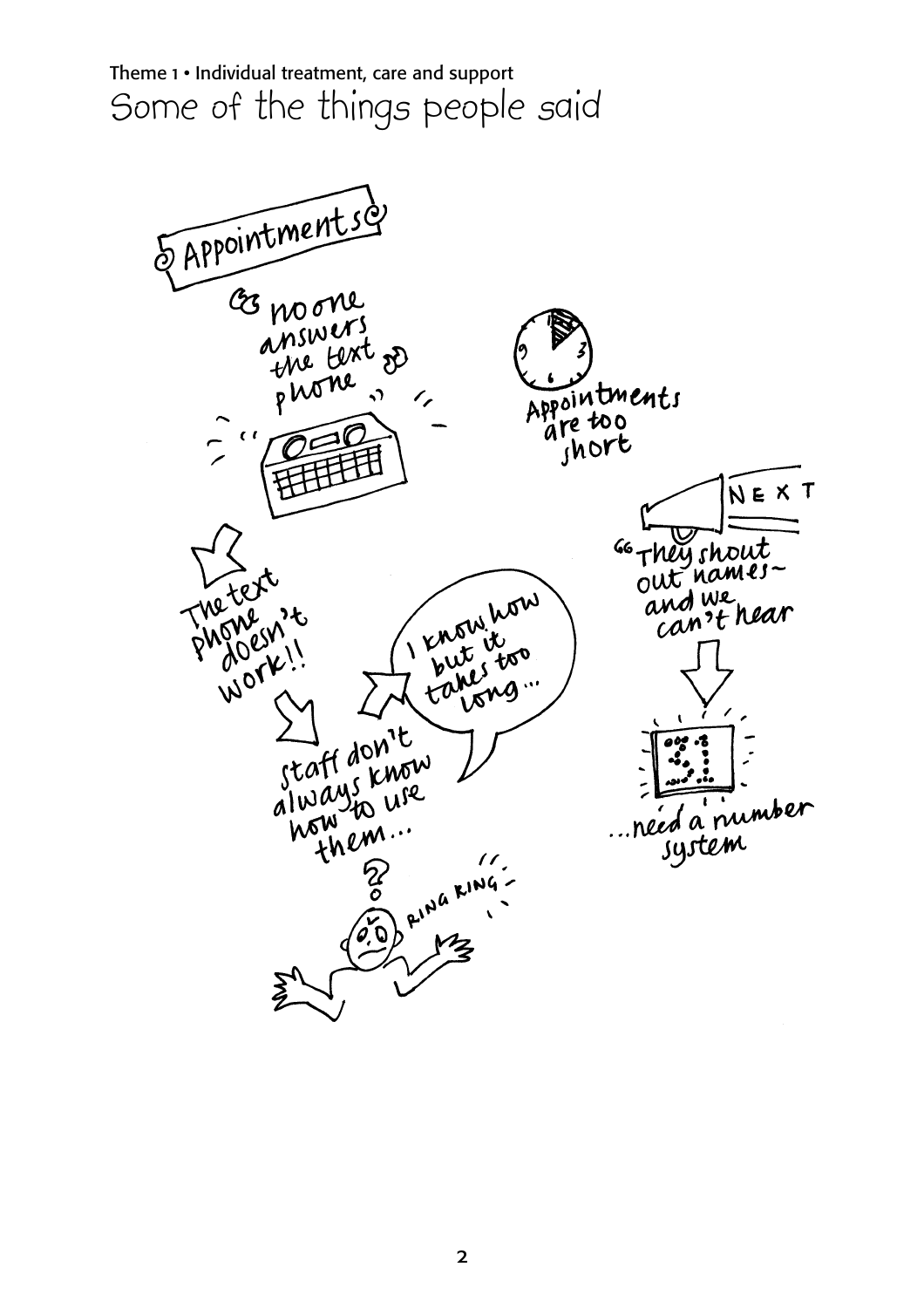

2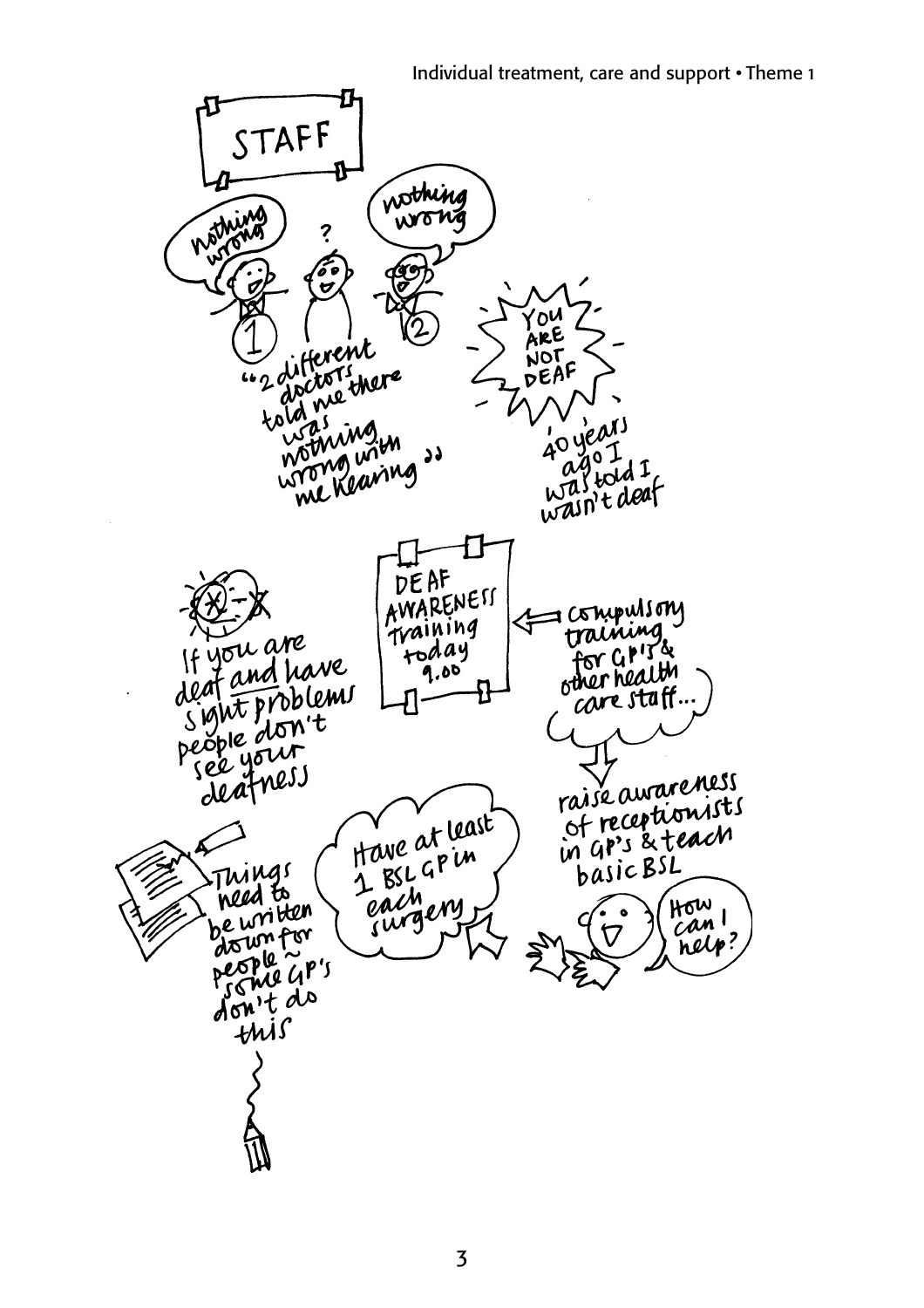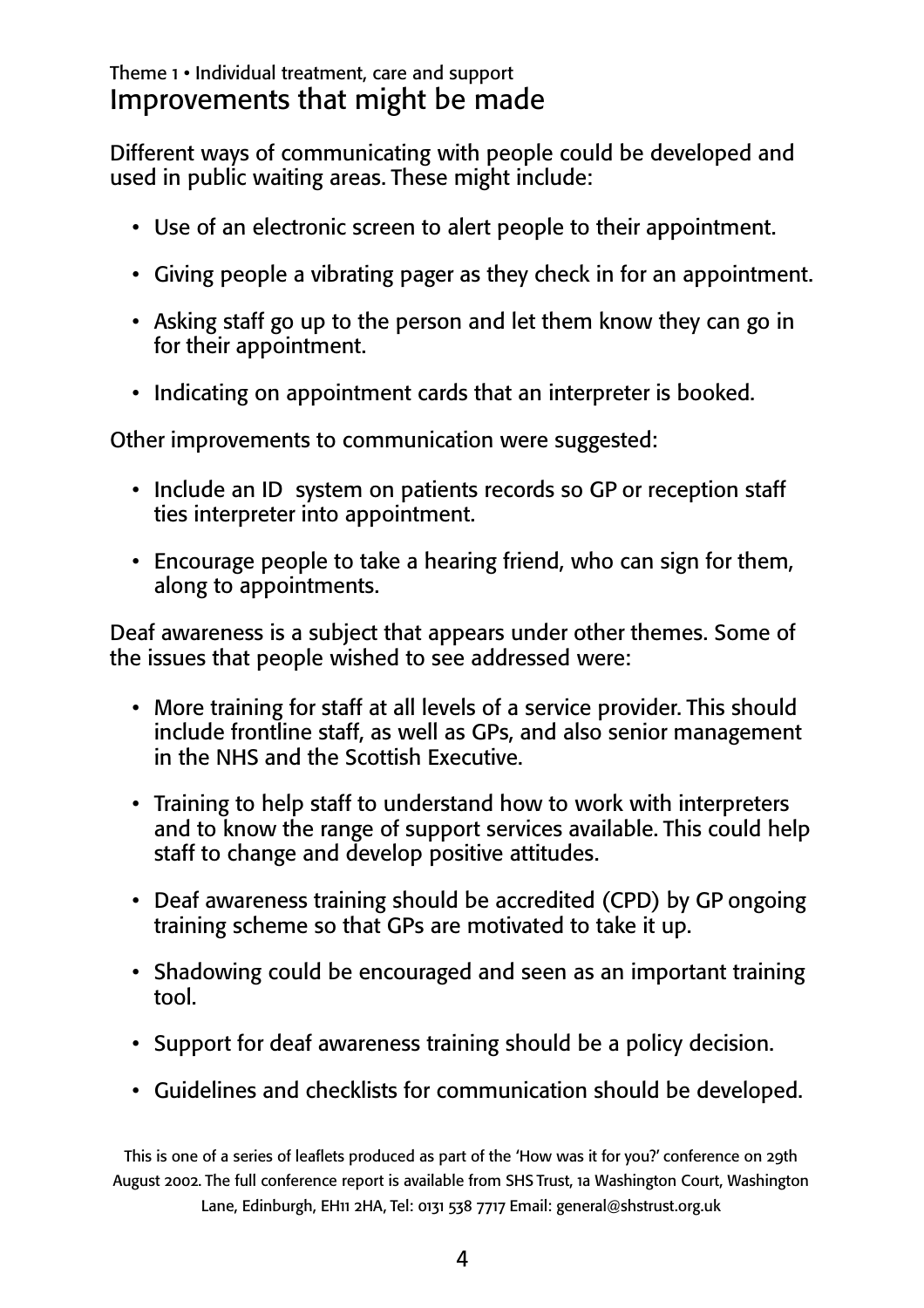#### Theme 1 • Individual treatment, care and support Improvements that might be made

Different ways of communicating with people could be developed and used in public waiting areas. These might include:

- Use of an electronic screen to alert people to their appointment.
- Giving people a vibrating pager as they check in for an appointment.
- Asking staff go up to the person and let them know they can go in for their appointment.
- Indicating on appointment cards that an interpreter is booked.

Other improvements to communication were suggested:

- Include an ID system on patients records so GP or reception staff ties interpreter into appointment.
- Encourage people to take a hearing friend, who can sign for them, along to appointments.

Deaf awareness is a subject that appears under other themes. Some of the issues that people wished to see addressed were:

- More training for staff at all levels of a service provider. This should include frontline staff, as well as GPs, and also senior management in the NHS and the Scottish Executive.
- Training to help staff to understand how to work with interpreters and to know the range of support services available. This could help staff to change and develop positive attitudes.
- Deaf awareness training should be accredited (CPD) by GP ongoing training scheme so that GPs are motivated to take it up.
- Shadowing could be encouraged and seen as an important training tool.
- Support for deaf awareness training should be a policy decision.
- Guidelines and checklists for communication should be developed.

This is one of a series of leaflets produced as part of the 'How was it for you?' conference on 29th August 2002. The full conference report is available from SHS Trust, 1a Washington Court, Washington Lane, Edinburgh, EH11 2HA, Tel: 0131 538 7717 Email: general@shstrust.org.uk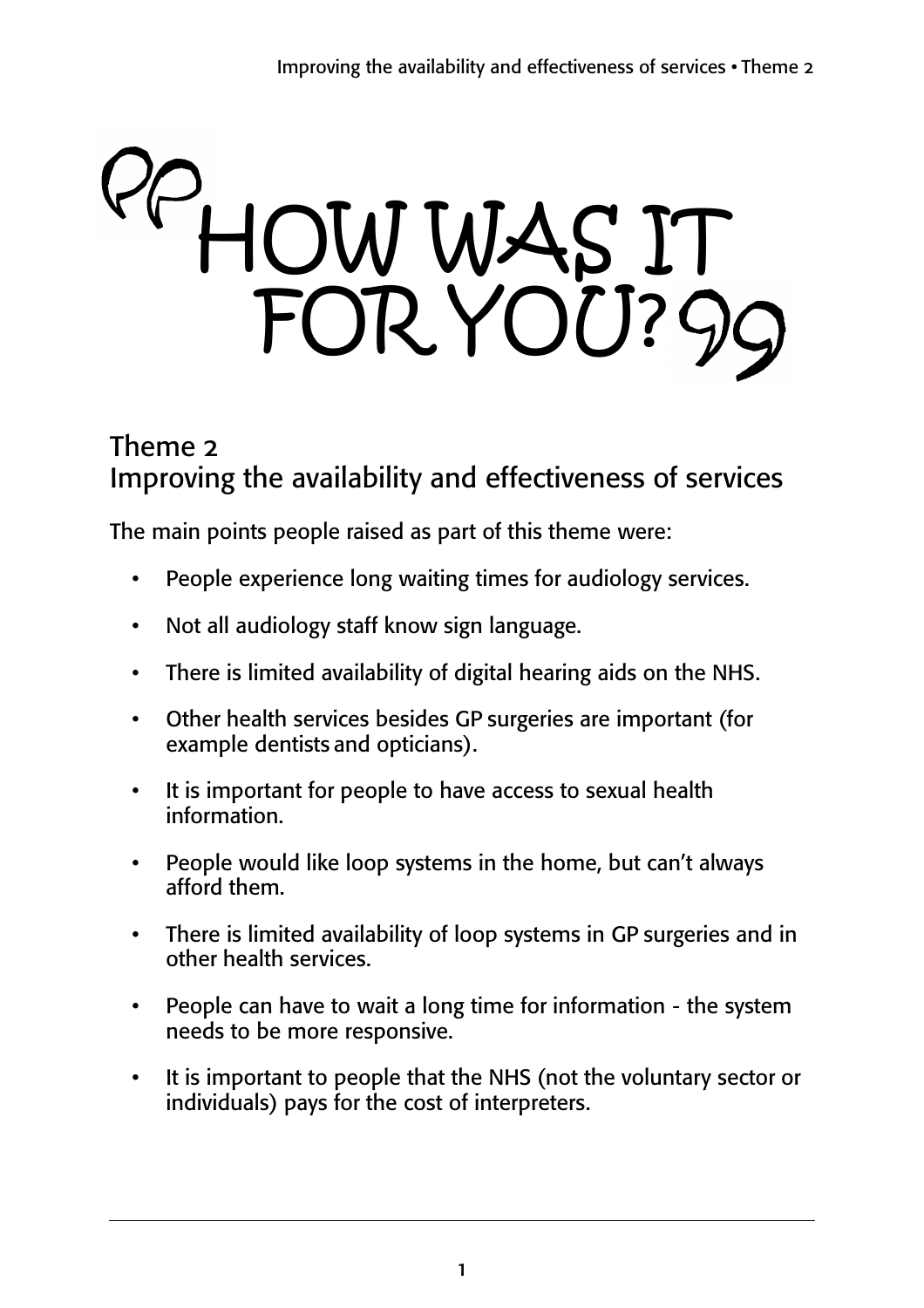# HOW WAS IT FOR YOU?

## Theme 2 Improving the availability and effectiveness of services

The main points people raised as part of this theme were:

- People experience long waiting times for audiology services.
- Not all audiology staff know sign language.
- There is limited availability of digital hearing aids on the NHS.
- Other health services besides GP surgeries are important (for example dentists and opticians).
- It is important for people to have access to sexual health information.
- People would like loop systems in the home, but can't always afford them.
- There is limited availability of loop systems in GP surgeries and in other health services.
- People can have to wait a long time for information the system needs to be more responsive.
- It is important to people that the NHS (not the voluntary sector or individuals) pays for the cost of interpreters.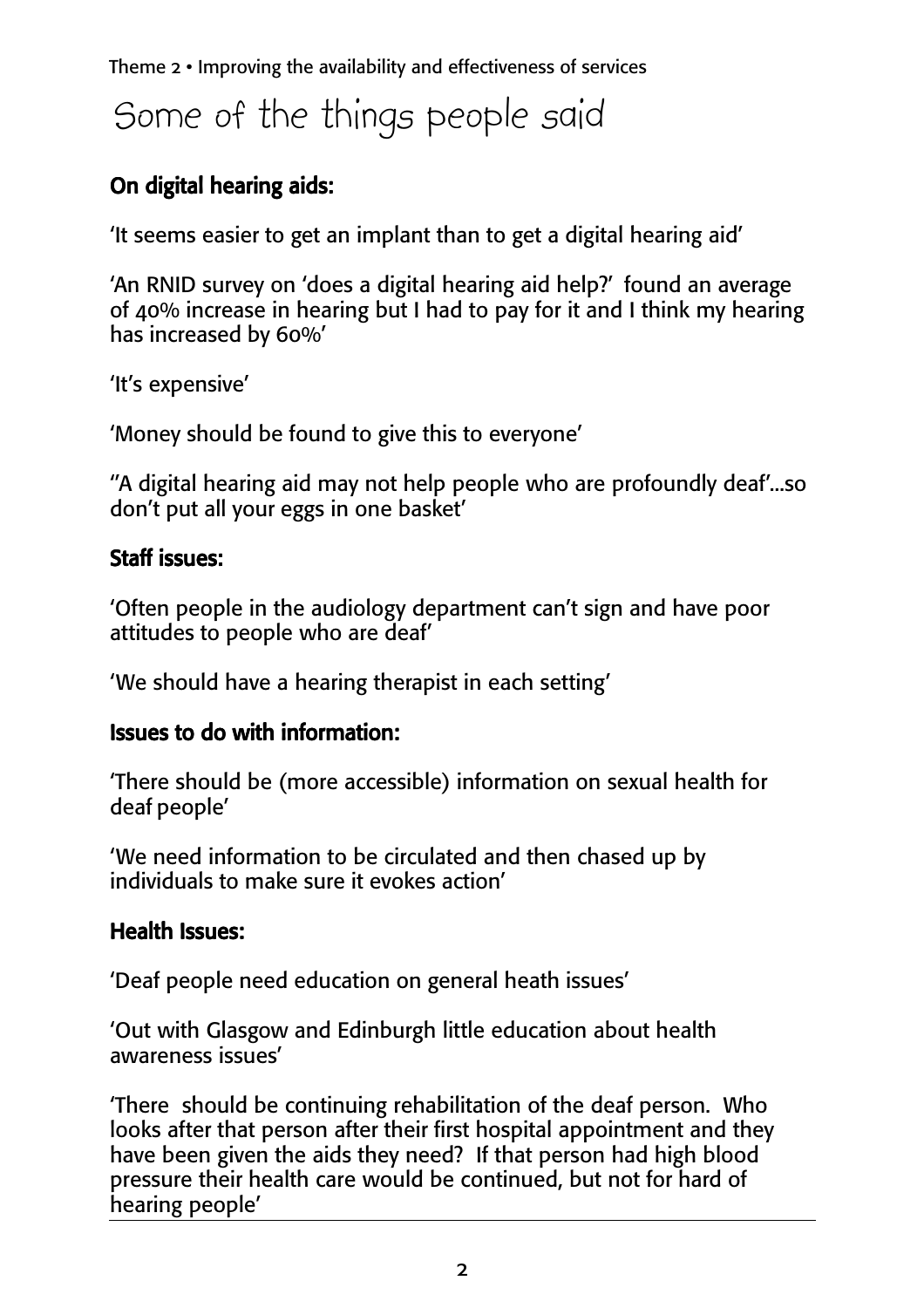Theme 2 • Improving the availability and effectiveness of services

# Some of the things people said

#### On digital hearing aids:

'It seems easier to get an implant than to get a digital hearing aid'

'An RNID survey on 'does a digital hearing aid help?' found an average of 40% increase in hearing but I had to pay for it and I think my hearing has increased by 60%'

'It's expensive'

'Money should be found to give this to everyone'

''A digital hearing aid may not help people who are profoundly deaf'...so don't put all your eggs in one basket'

#### **Staff issues:**

'Often people in the audiology department can't sign and have poor attitudes to people who are deaf'

'We should have a hearing therapist in each setting'

#### Issues to do with information:

'There should be (more accessible) information on sexual health for deaf people'

'We need information to be circulated and then chased up by individuals to make sure it evokes action'

#### Health Issues:

'Deaf people need education on general heath issues'

'Out with Glasgow and Edinburgh little education about health awareness issues'

'There should be continuing rehabilitation of the deaf person. Who looks after that person after their first hospital appointment and they have been given the aids they need? If that person had high blood pressure their health care would be continued, but not for hard of hearing people'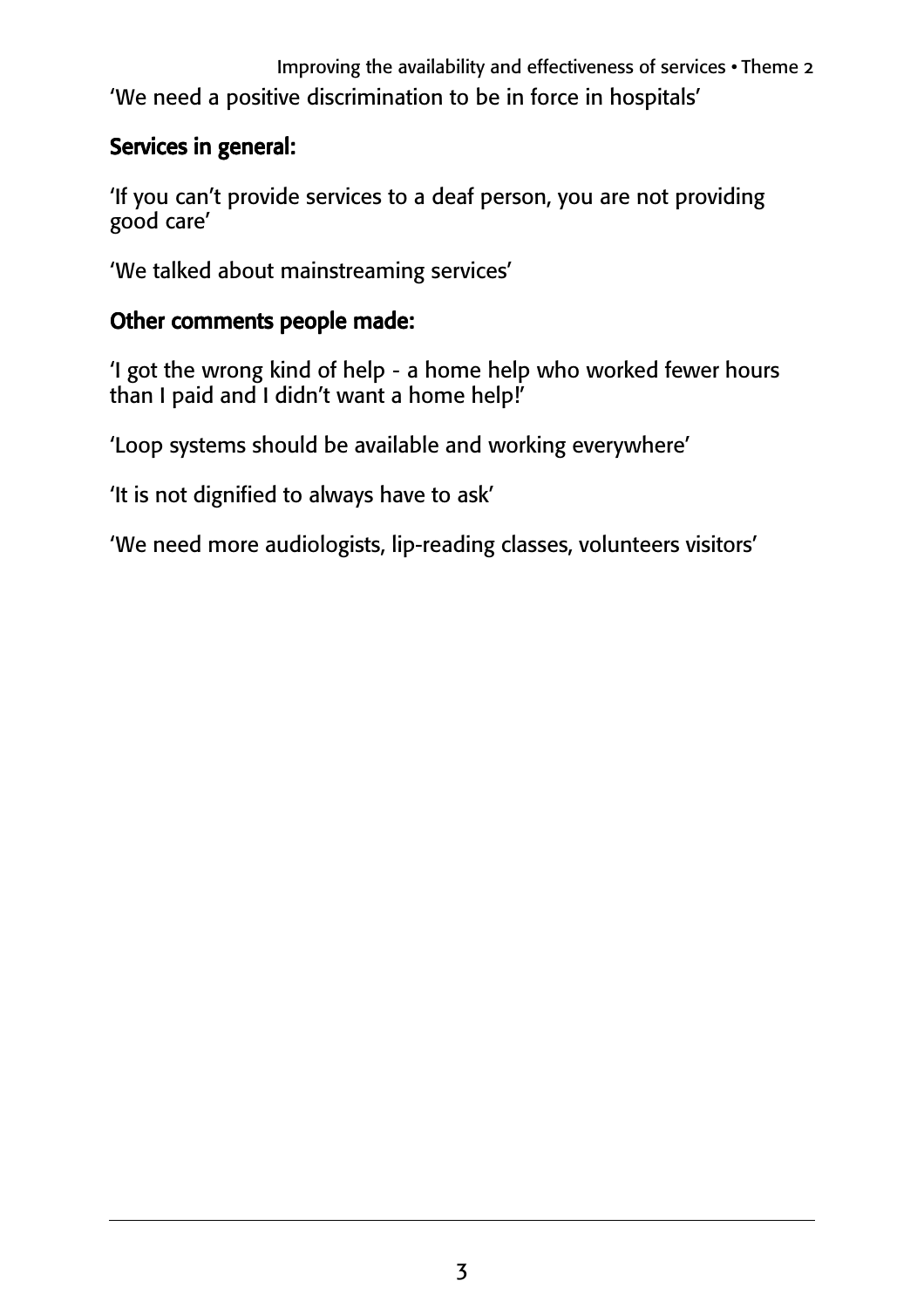Improving the availability and effectiveness of services • Theme 2 'We need a positive discrimination to be in force in hospitals'

#### Services in general:

'If you can't provide services to a deaf person, you are not providing good care'

'We talked about mainstreaming services'

#### Other comments people made:

'I got the wrong kind of help - a home help who worked fewer hours than I paid and I didn't want a home help!'

'Loop systems should be available and working everywhere'

'It is not dignified to always have to ask'

'We need more audiologists, lip-reading classes, volunteers visitors'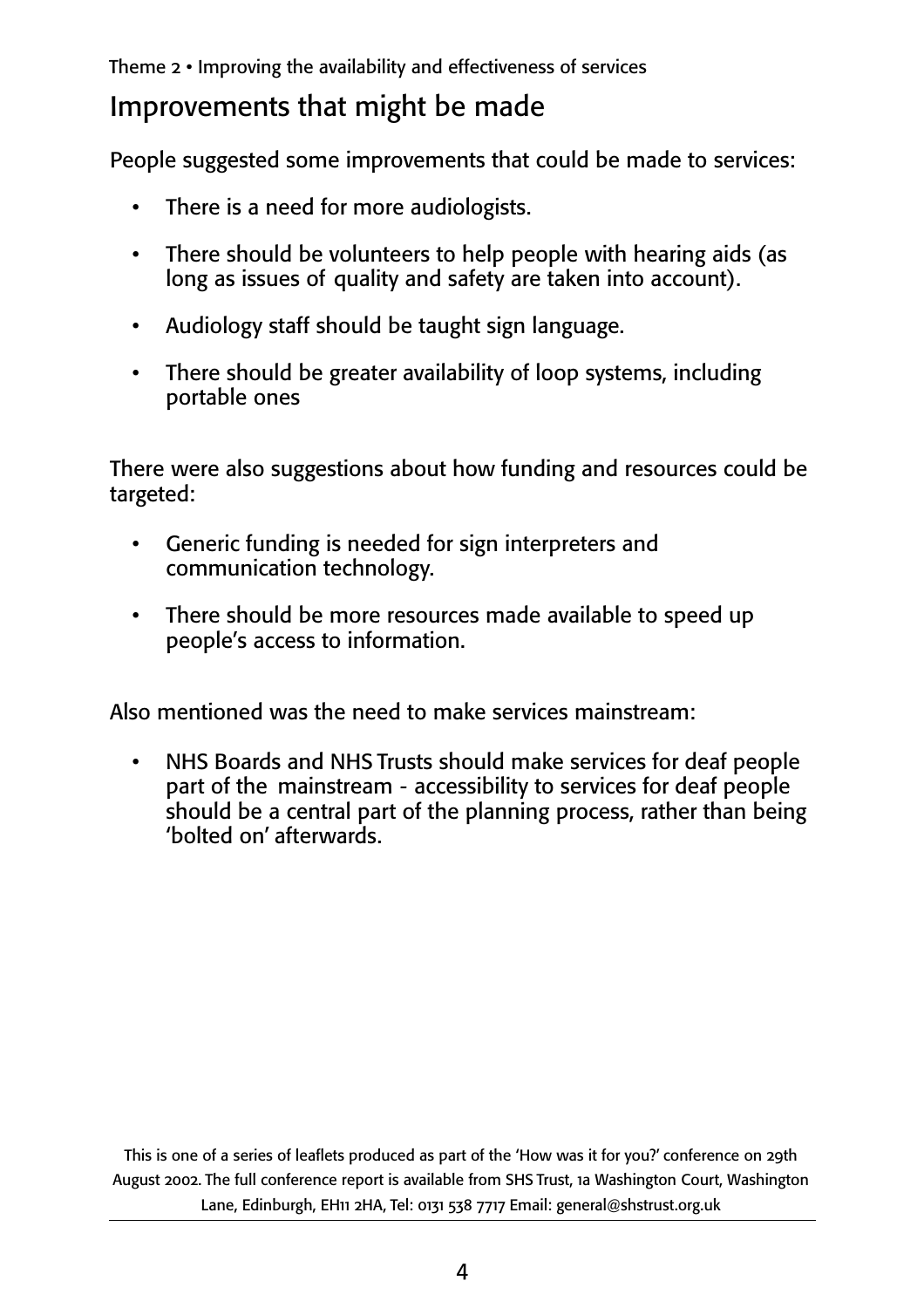Theme 2 • Improving the availability and effectiveness of services

## Improvements that might be made

People suggested some improvements that could be made to services:

- There is a need for more audiologists.
- There should be volunteers to help people with hearing aids (as long as issues of quality and safety are taken into account).
- Audiology staff should be taught sign language.
- There should be greater availability of loop systems, including portable ones

There were also suggestions about how funding and resources could be targeted:

- Generic funding is needed for sign interpreters and communication technology.
- There should be more resources made available to speed up people's access to information.

Also mentioned was the need to make services mainstream:

• NHS Boards and NHS Trusts should make services for deaf people part of the mainstream - accessibility to services for deaf people should be a central part of the planning process, rather than being 'bolted on' afterwards.

This is one of a series of leaflets produced as part of the 'How was it for you?' conference on 29th August 2002. The full conference report is available from SHS Trust, 1a Washington Court, Washington Lane, Edinburgh, EH11 2HA, Tel: 0131 538 7717 Email: general@shstrust.org.uk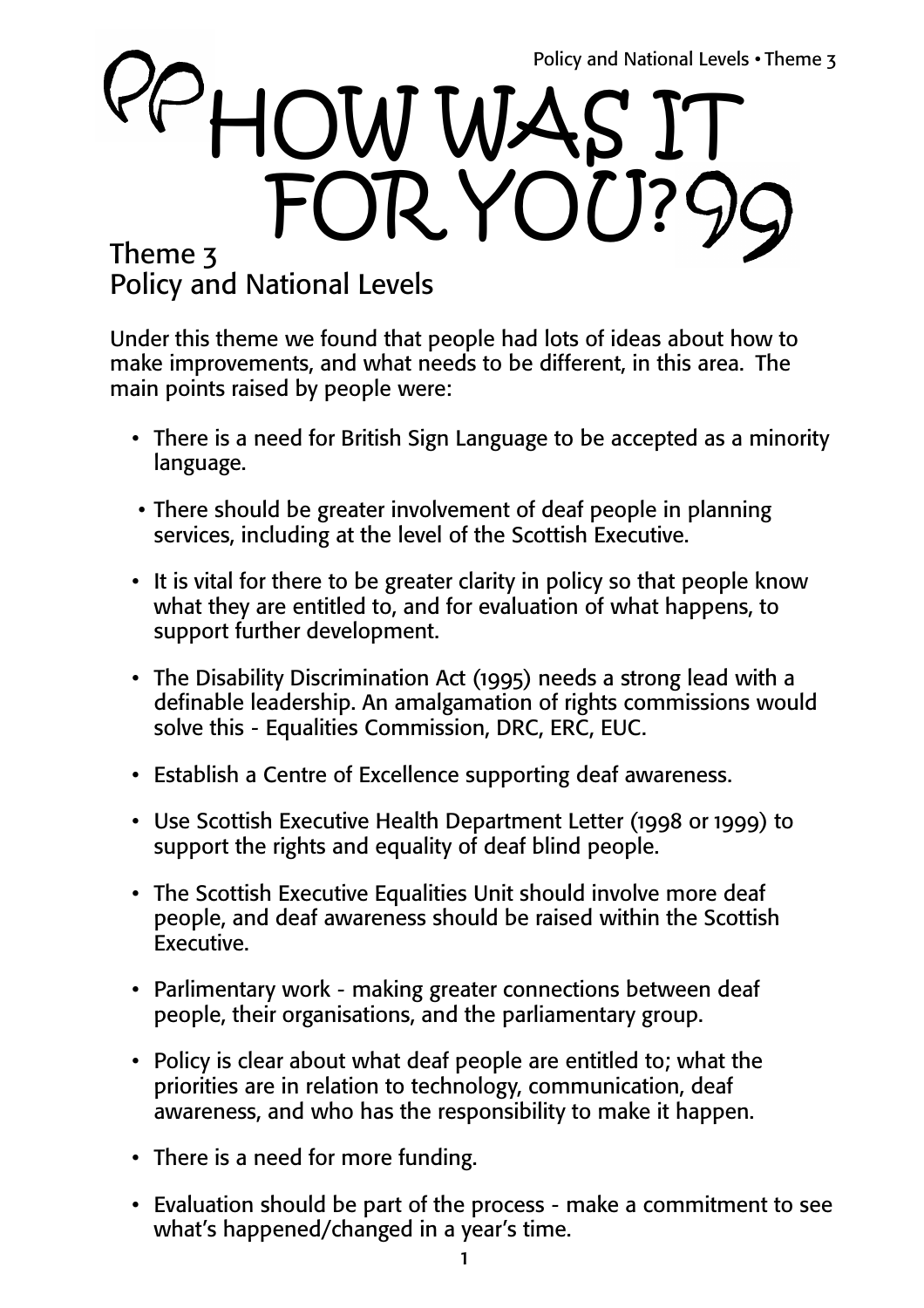# Theme 3 Policy and National Levels HOW WAS I FOR YOU?

Under this theme we found that people had lots of ideas about how to make improvements, and what needs to be different, in this area. The main points raised by people were:

- There is a need for British Sign Language to be accepted as a minority language.
- There should be greater involvement of deaf people in planning services, including at the level of the Scottish Executive.
- It is vital for there to be greater clarity in policy so that people know what they are entitled to, and for evaluation of what happens, to support further development.
- The Disability Discrimination Act (1995) needs a strong lead with a definable leadership. An amalgamation of rights commissions would solve this - Equalities Commission, DRC, ERC, EUC.
- Establish a Centre of Excellence supporting deaf awareness.
- Use Scottish Executive Health Department Letter (1998 or 1999) to support the rights and equality of deaf blind people.
- The Scottish Executive Equalities Unit should involve more deaf people, and deaf awareness should be raised within the Scottish Executive.
- Parlimentary work making greater connections between deaf people, their organisations, and the parliamentary group.
- Policy is clear about what deaf people are entitled to; what the priorities are in relation to technology, communication, deaf awareness, and who has the responsibility to make it happen.
- There is a need for more funding.
- Evaluation should be part of the process make a commitment to see what's happened/changed in a year's time.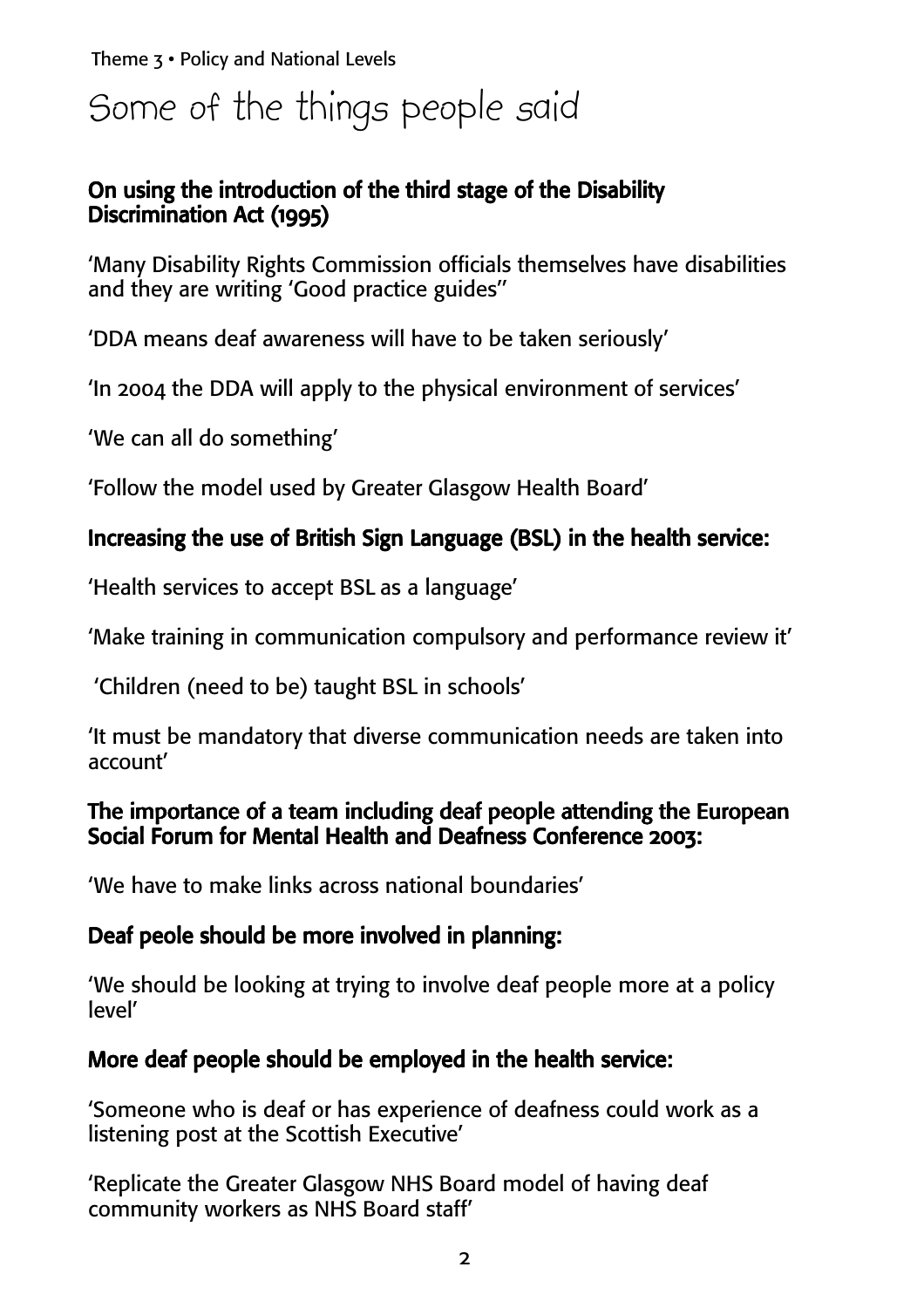Theme 3 • Policy and National Levels

# Some of the things people said

#### On using the introduction of the third stage of the Disability Discrimination Act (1995)

'Many Disability Rights Commission officials themselves have disabilities and they are writing 'Good practice guides''

'DDA means deaf awareness will have to be taken seriously'

'In 2004 the DDA will apply to the physical environment of services'

'We can all do something'

'Follow the model used by Greater Glasgow Health Board'

#### Increasing the use of British Sign Language (BSL) in the health service:

'Health services to accept BSL as a language'

'Make training in communication compulsory and performance review it'

'Children (need to be) taught BSL in schools'

'It must be mandatory that diverse communication needs are taken into account'

#### The importance of a team including deaf people attending the European Social Forum for Mental Health and Deafness Conference 2003:

'We have to make links across national boundaries'

#### Deaf peole should be more involved in planning:

'We should be looking at trying to involve deaf people more at a policy level'

#### More deaf people should be employed in the health service:

'Someone who is deaf or has experience of deafness could work as a listening post at the Scottish Executive'

'Replicate the Greater Glasgow NHS Board model of having deaf community workers as NHS Board staff'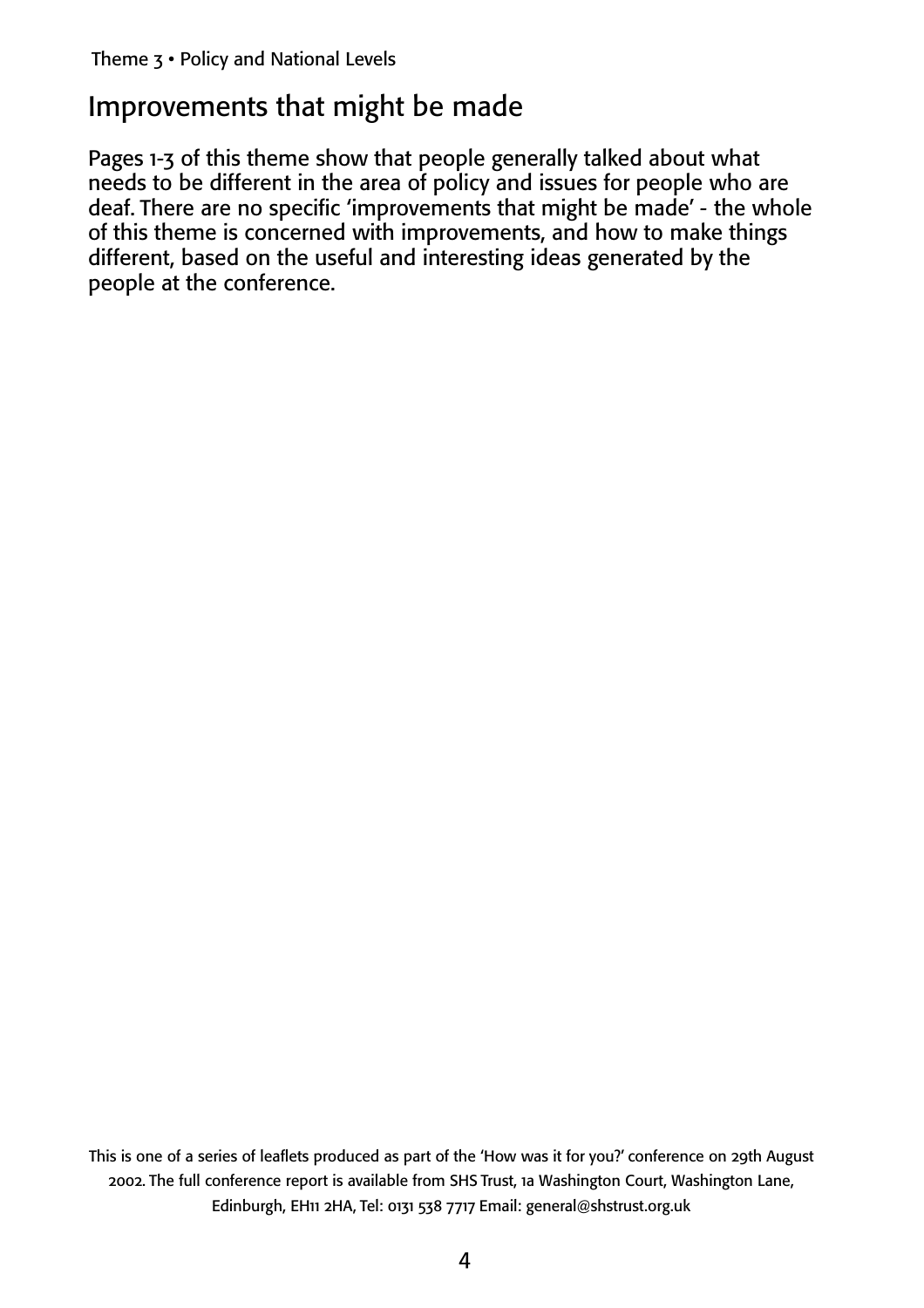## Improvements that might be made

Pages 1-3 of this theme show that people generally talked about what needs to be different in the area of policy and issues for people who are deaf. There are no specific 'improvements that might be made' - the whole of this theme is concerned with improvements, and how to make things different, based on the useful and interesting ideas generated by the people at the conference.

This is one of a series of leaflets produced as part of the 'How was it for you?' conference on 29th August 2002. The full conference report is available from SHS Trust, 1a Washington Court, Washington Lane, Edinburgh, EH11 2HA, Tel: 0131 538 7717 Email: general@shstrust.org.uk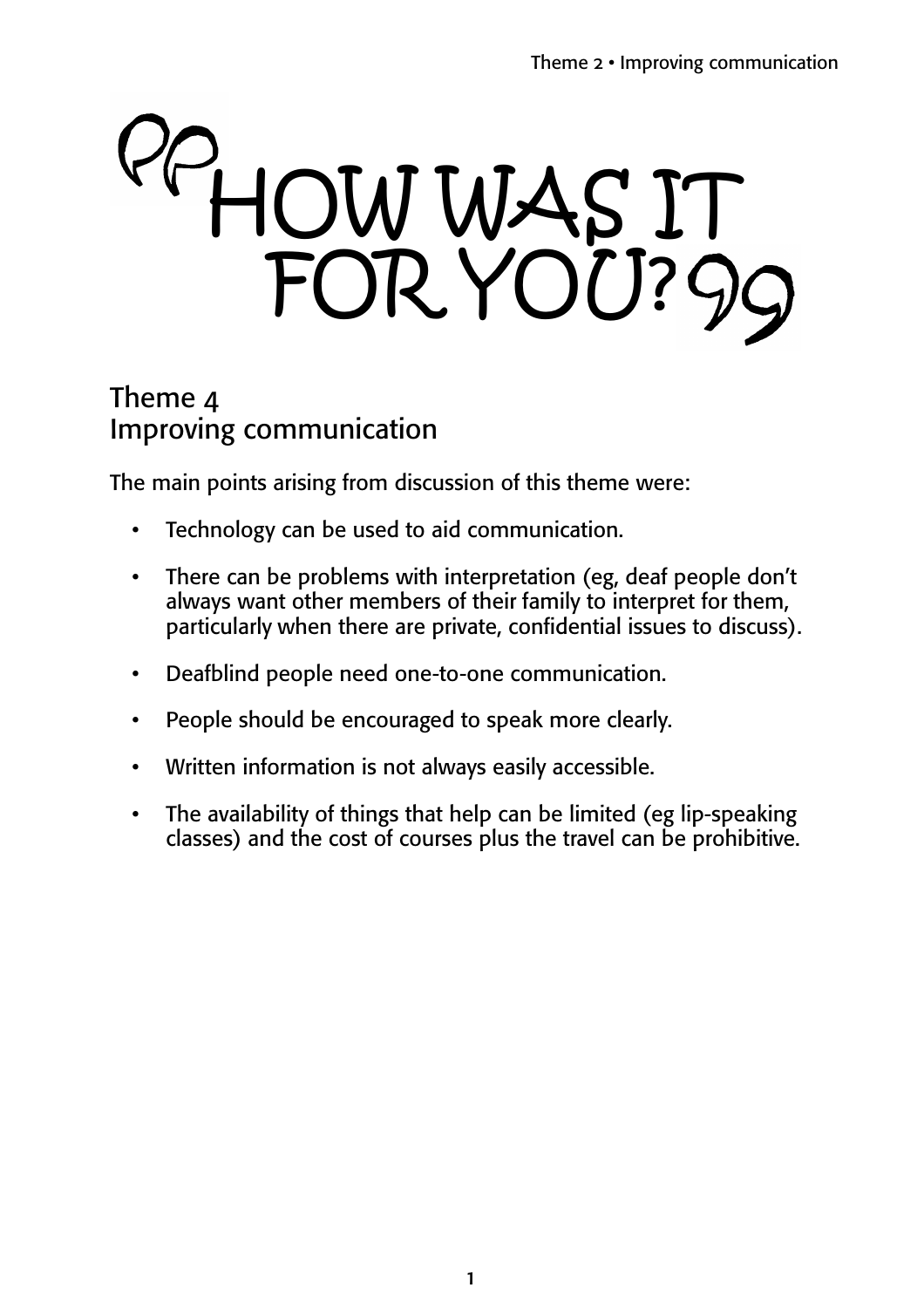# HOW WAS IT FOR YOU?

### Theme 4 Improving communication

The main points arising from discussion of this theme were:

- Technology can be used to aid communication.
- There can be problems with interpretation (eg, deaf people don't always want other members of their family to interpret for them, particularly when there are private, confidential issues to discuss).
- Deafblind people need one-to-one communication.
- People should be encouraged to speak more clearly.
- Written information is not always easily accessible.
- The availability of things that help can be limited (eg lip-speaking classes) and the cost of courses plus the travel can be prohibitive.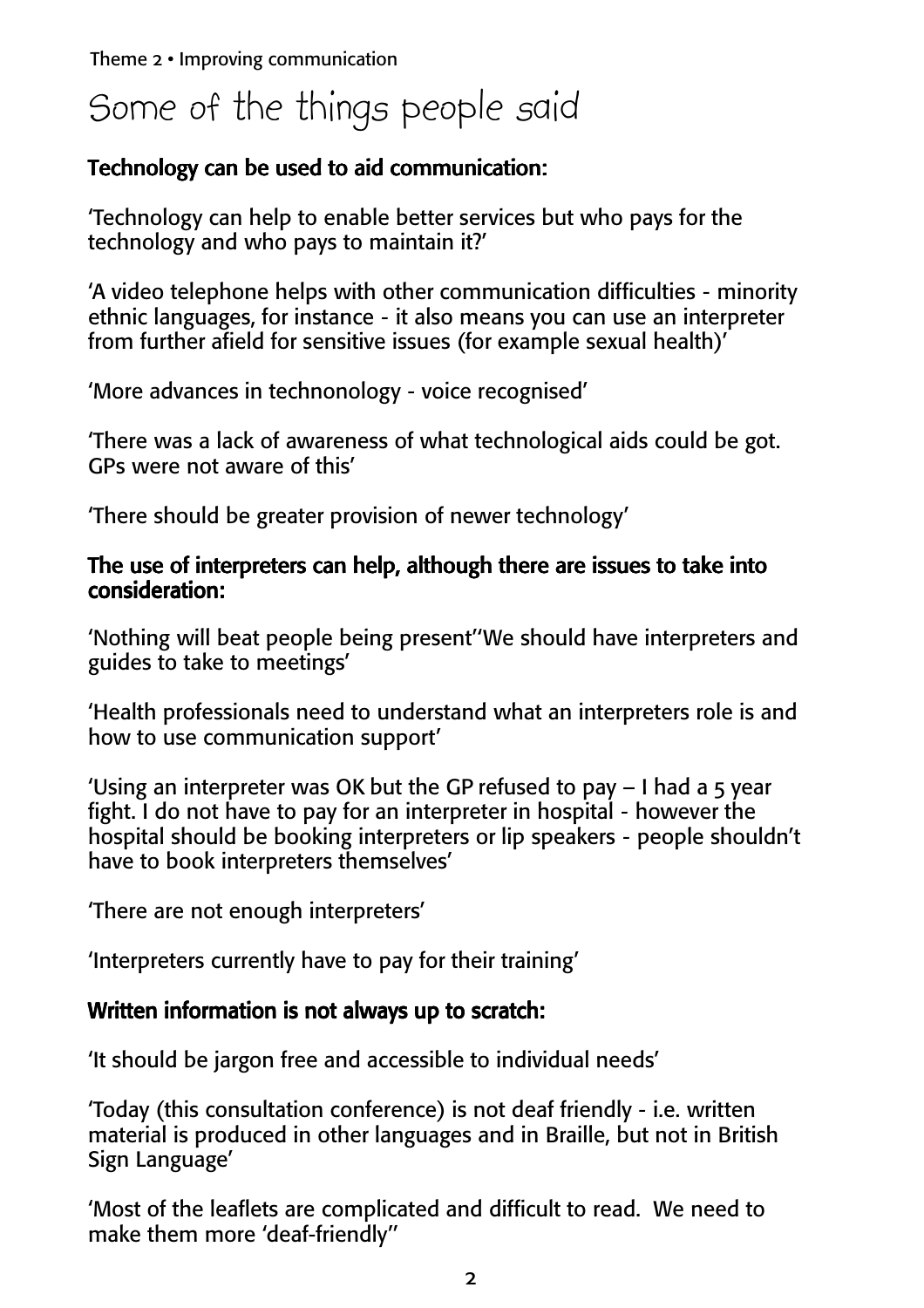Theme 2 • Improving communication

# Some of the things people said

#### Technology can be used to aid communication:

'Technology can help to enable better services but who pays for the technology and who pays to maintain it?'

'A video telephone helps with other communication difficulties - minority ethnic languages, for instance - it also means you can use an interpreter from further afield for sensitive issues (for example sexual health)'

'More advances in technonology - voice recognised'

'There was a lack of awareness of what technological aids could be got. GPs were not aware of this'

'There should be greater provision of newer technology'

#### The use of interpreters can help, although there are issues to take into consideration:

'Nothing will beat people being present''We should have interpreters and guides to take to meetings'

'Health professionals need to understand what an interpreters role is and how to use communication support'

'Using an interpreter was OK but the GP refused to pay  $-1$  had a 5 year fight. I do not have to pay for an interpreter in hospital - however the hospital should be booking interpreters or lip speakers - people shouldn't have to book interpreters themselves'

'There are not enough interpreters'

'Interpreters currently have to pay for their training'

#### Written information is not always up to scratch:

'It should be jargon free and accessible to individual needs'

'Today (this consultation conference) is not deaf friendly - i.e. written material is produced in other languages and in Braille, but not in British Sign Language'

'Most of the leaflets are complicated and difficult to read. We need to make them more 'deaf-friendly''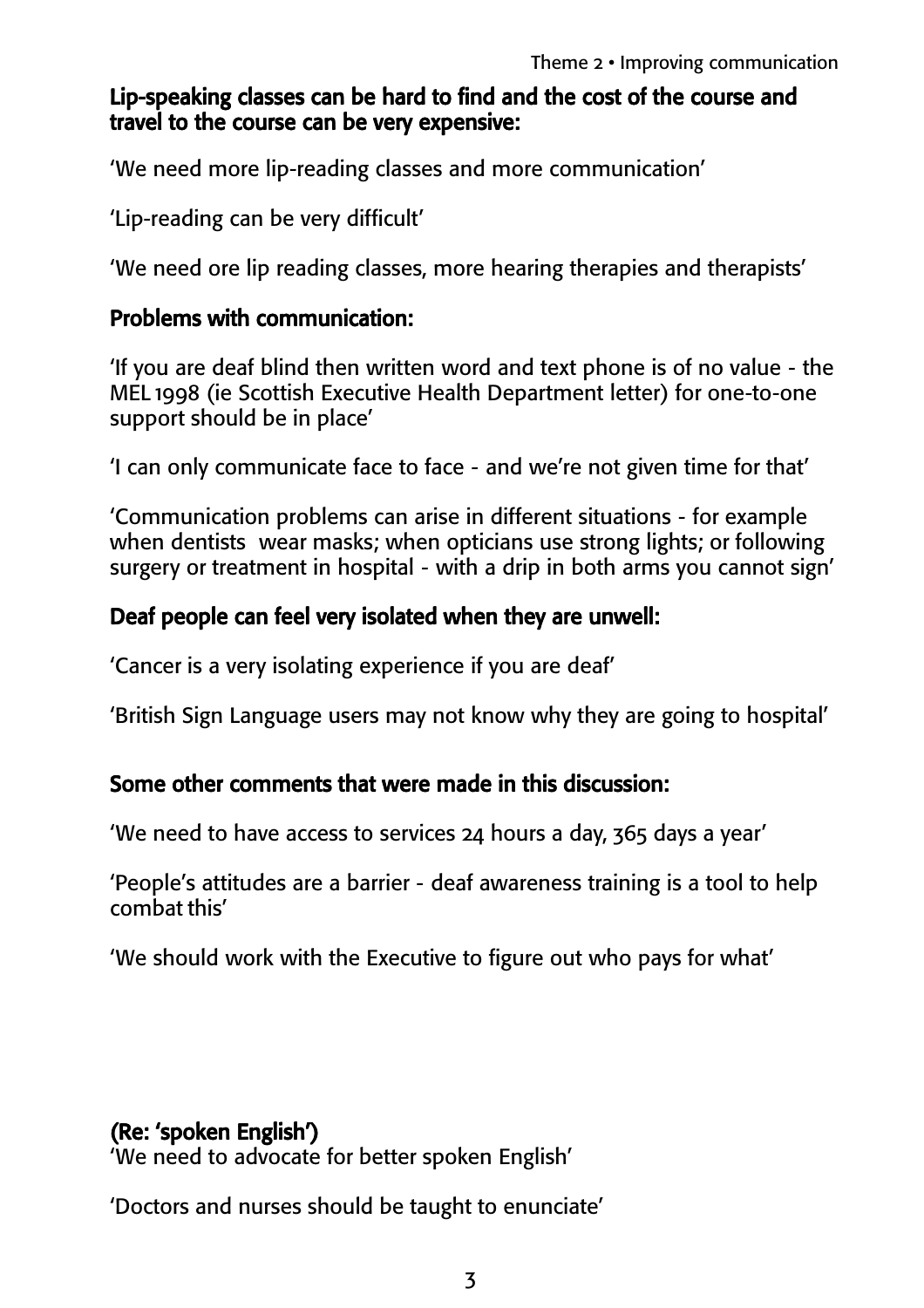#### Lip-speaking classes can be hard to find and the cost of the course and travel to the course can be very expensive:

'We need more lip-reading classes and more communication'

'Lip-reading can be very difficult'

'We need ore lip reading classes, more hearing therapies and therapists'

#### Problems with communication:

'If you are deaf blind then written word and text phone is of no value - the MEL 1998 (ie Scottish Executive Health Department letter) for one-to-one support should be in place'

'I can only communicate face to face - and we're not given time for that'

'Communication problems can arise in different situations - for example when dentists wear masks; when opticians use strong lights; or following surgery or treatment in hospital - with a drip in both arms you cannot sign'

#### Deaf people can feel very isolated when they are unwell:

'Cancer is a very isolating experience if you are deaf'

'British Sign Language users may not know why they are going to hospital'

#### Some other comments that were made in this discussion:

'We need to have access to services 24 hours a day, 365 days a year'

'People's attitudes are a barrier - deaf awareness training is a tool to help combat this'

'We should work with the Executive to figure out who pays for what'

#### (Re: 'spoken English')

'We need to advocate for better spoken English'

'Doctors and nurses should be taught to enunciate'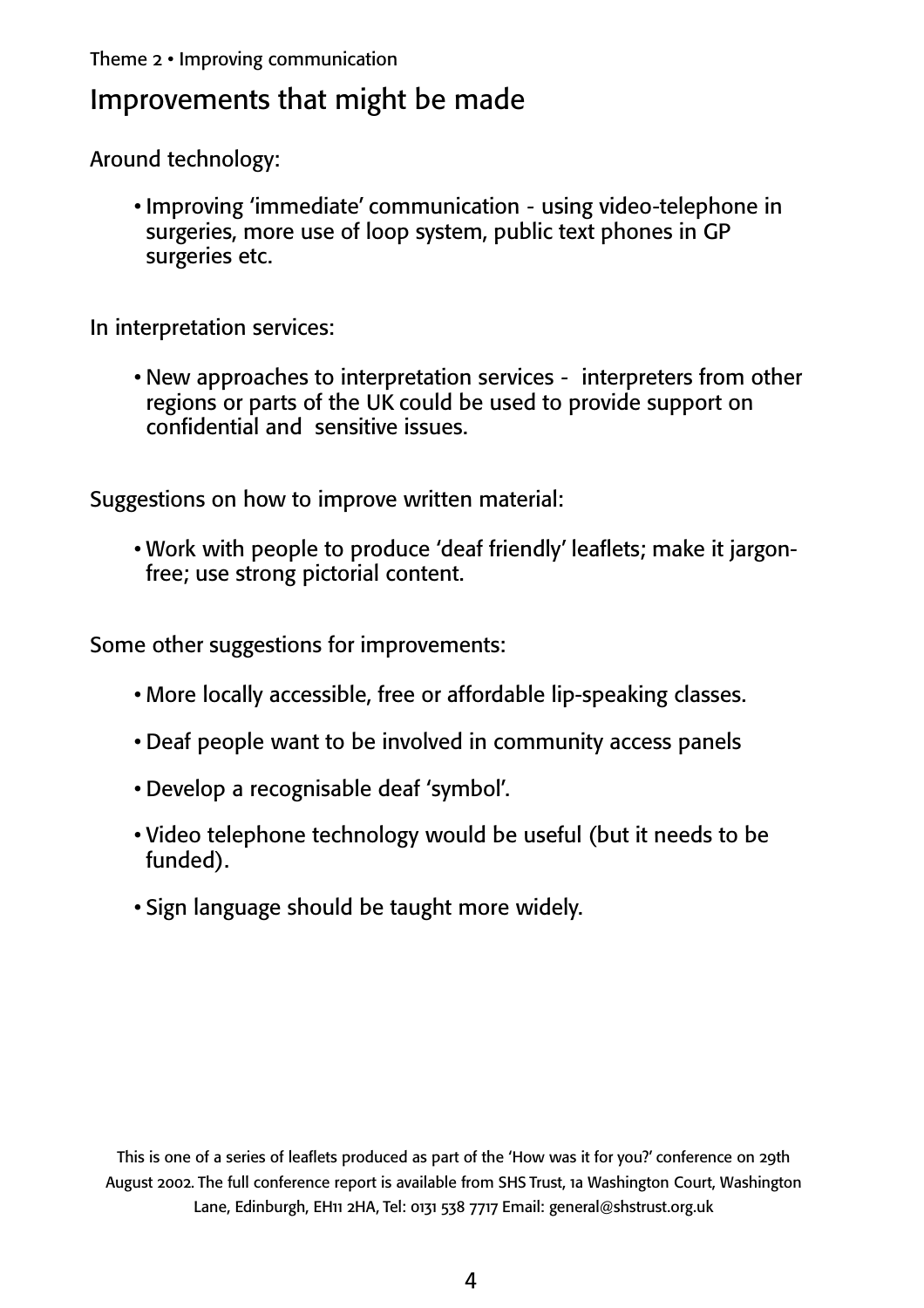Theme 2 • Improving communication

### Improvements that might be made

Around technology:

• Improving 'immediate' communication - using video-telephone in surgeries, more use of loop system, public text phones in GP surgeries etc.

In interpretation services:

• New approaches to interpretation services - interpreters from other regions or parts of the UK could be used to provide support on confidential and sensitive issues.

Suggestions on how to improve written material:

• Work with people to produce 'deaf friendly' leaflets; make it jargonfree; use strong pictorial content.

Some other suggestions for improvements:

- More locally accessible, free or affordable lip-speaking classes.
- Deaf people want to be involved in community access panels
- Develop a recognisable deaf 'symbol'.
- Video telephone technology would be useful (but it needs to be funded).
- Sign language should be taught more widely.

This is one of a series of leaflets produced as part of the 'How was it for you?' conference on 29th August 2002. The full conference report is available from SHS Trust, 1a Washington Court, Washington Lane, Edinburgh, EH11 2HA, Tel: 0131 538 7717 Email: general@shstrust.org.uk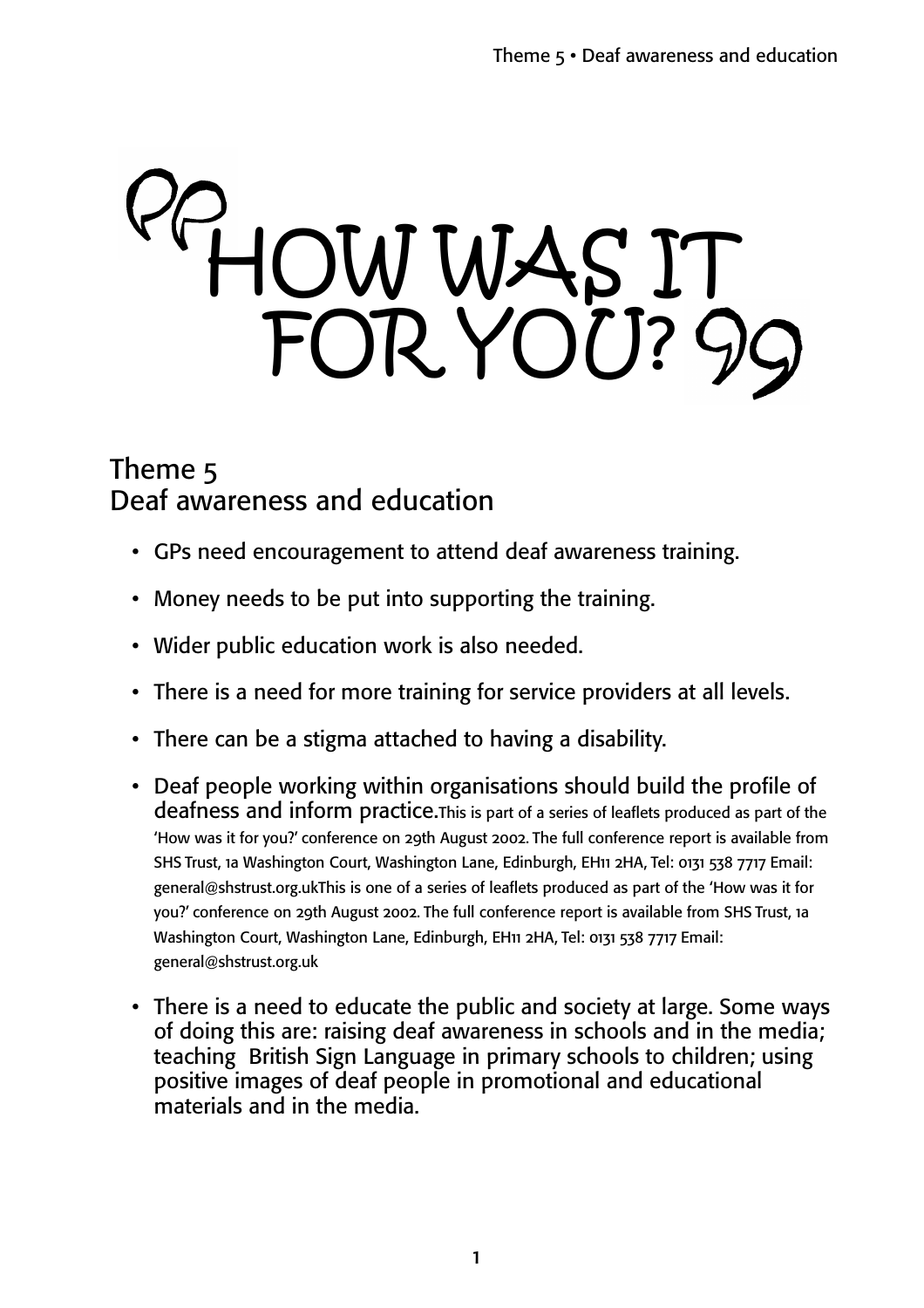# HOW WAS IT FOR YOU?

### Theme 5 Deaf awareness and education

- GPs need encouragement to attend deaf awareness training.
- Money needs to be put into supporting the training.
- Wider public education work is also needed.
- There is a need for more training for service providers at all levels.
- There can be a stigma attached to having a disability.
- Deaf people working within organisations should build the profile of deafness and inform practice.This is part of a series of leaflets produced as part of the 'How was it for you?' conference on 29th August 2002. The full conference report is available from SHS Trust, 1a Washington Court, Washington Lane, Edinburgh, EH11 2HA, Tel: 0131 538 7717 Email: general@shstrust.org.ukThis is one of a series of leaflets produced as part of the 'How was it for you?' conference on 29th August 2002. The full conference report is available from SHS Trust, 1a Washington Court, Washington Lane, Edinburgh, EH11 2HA, Tel: 0131 538 7717 Email: general@shstrust.org.uk
- There is a need to educate the public and society at large. Some ways of doing this are: raising deaf awareness in schools and in the media; teaching British Sign Language in primary schools to children; using positive images of deaf people in promotional and educational materials and in the media.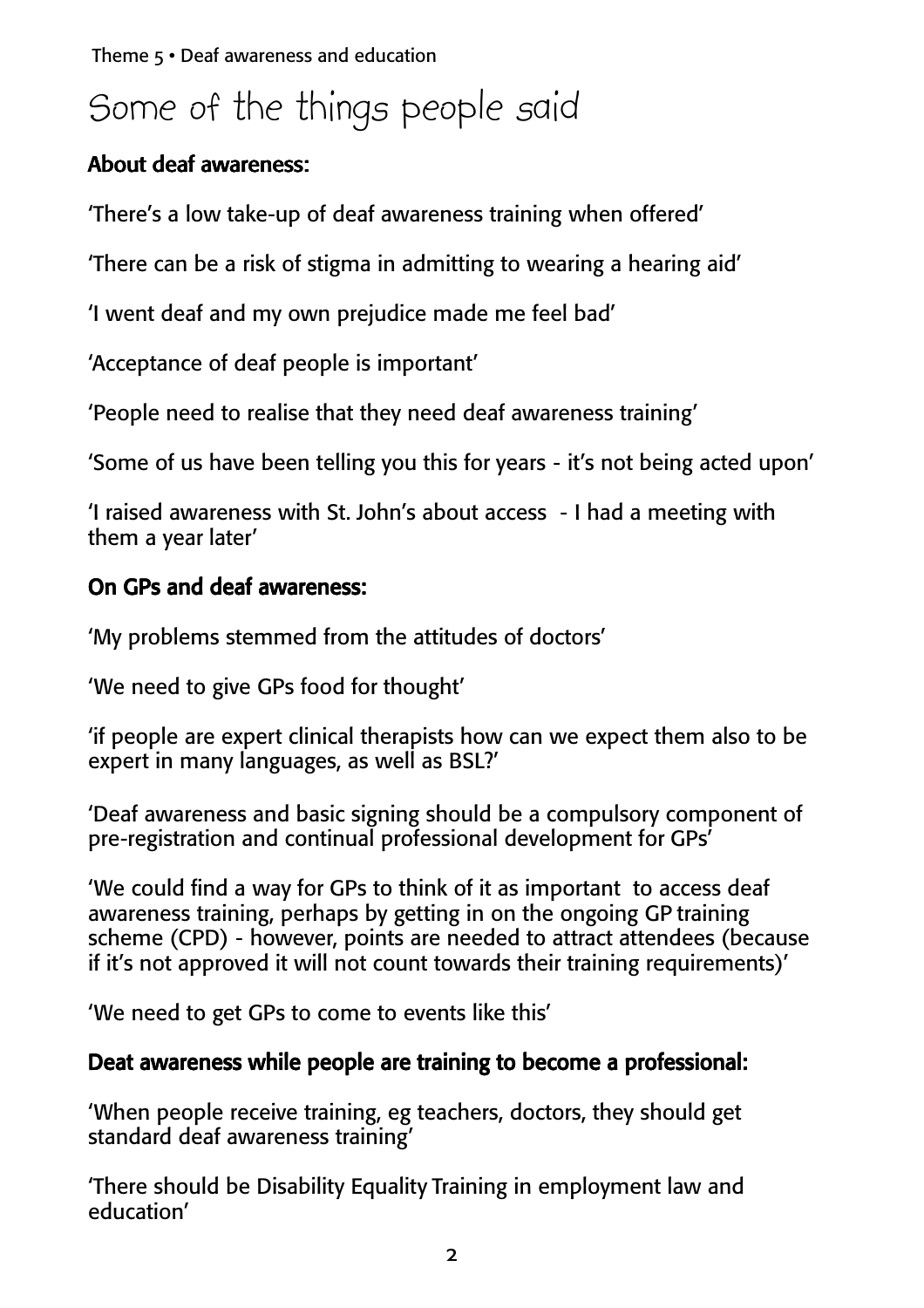# Some of the things people said

#### About deaf awareness:

'There's a low take-up of deaf awareness training when offered'

'There can be a risk of stigma in admitting to wearing a hearing aid'

'I went deaf and my own prejudice made me feel bad'

'Acceptance of deaf people is important'

'People need to realise that they need deaf awareness training'

'Some of us have been telling you this for years - it's not being acted upon'

'I raised awareness with St. John's about access - I had a meeting with them a year later'

#### On GPs and deaf awareness:

'My problems stemmed from the attitudes of doctors'

'We need to give GPs food for thought'

'if people are expert clinical therapists how can we expect them also to be expert in many languages, as well as BSL?'

'Deaf awareness and basic signing should be a compulsory component of pre-registration and continual professional development for GPs'

'We could find a way for GPs to think of it as important to access deaf awareness training, perhaps by getting in on the ongoing GP training scheme (CPD) - however, points are needed to attract attendees (because if it's not approved it will not count towards their training requirements)'

'We need to get GPs to come to events like this'

#### Deat awareness while people are training to become a professional:

'When people receive training, eg teachers, doctors, they should get standard deaf awareness training'

'There should be Disability Equality Training in employment law and education'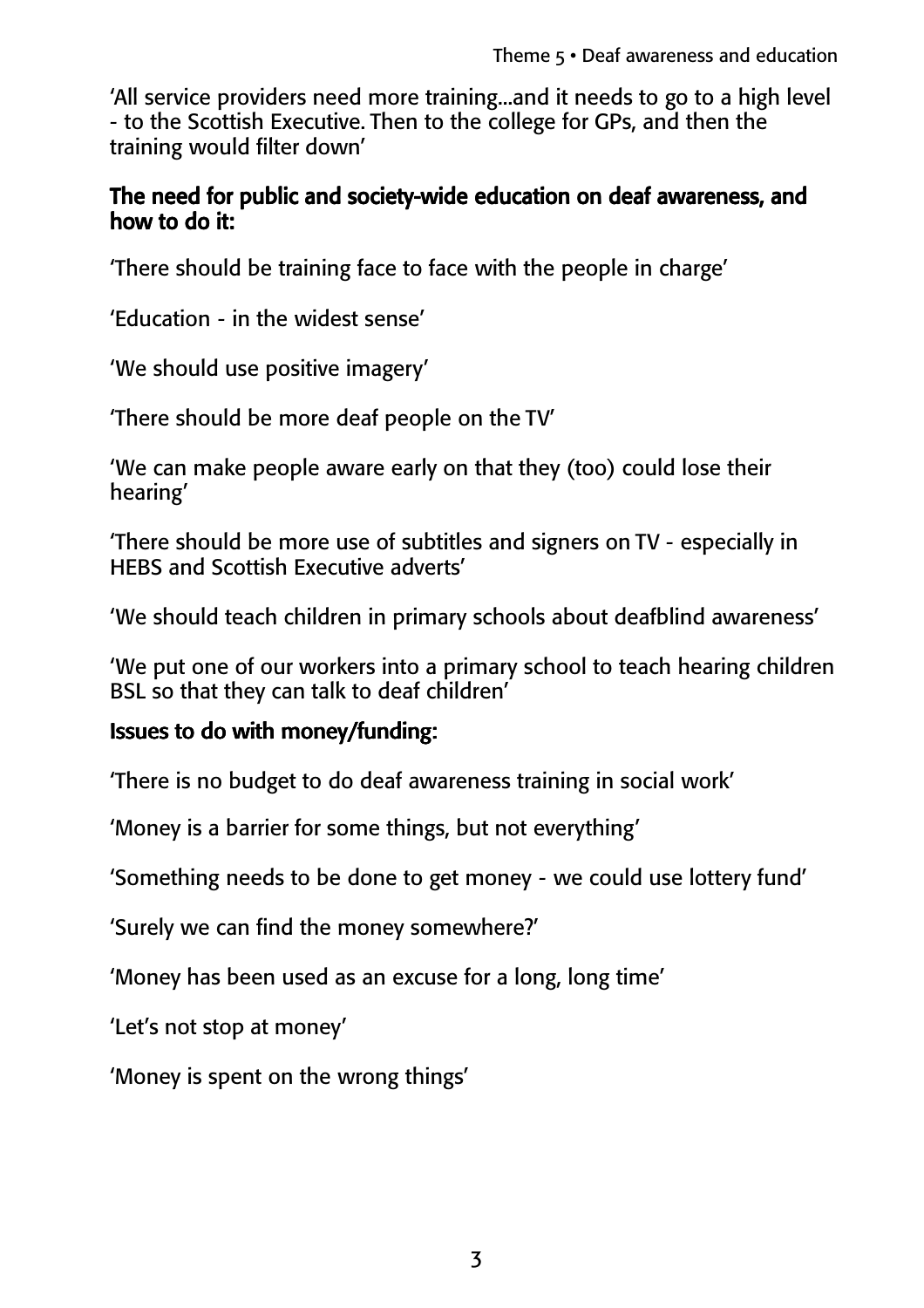'All service providers need more training...and it needs to go to a high level - to the Scottish Executive. Then to the college for GPs, and then the training would filter down'

#### The need for public and society-wide education on deaf awareness, and how to do it:

'There should be training face to face with the people in charge'

'Education - in the widest sense'

'We should use positive imagery'

'There should be more deaf people on the TV'

'We can make people aware early on that they (too) could lose their hearing'

'There should be more use of subtitles and signers on TV - especially in HEBS and Scottish Executive adverts'

'We should teach children in primary schools about deafblind awareness'

'We put one of our workers into a primary school to teach hearing children BSL so that they can talk to deaf children'

#### Issues to do with money/funding:

'There is no budget to do deaf awareness training in social work'

'Money is a barrier for some things, but not everything'

'Something needs to be done to get money - we could use lottery fund'

'Surely we can find the money somewhere?'

'Money has been used as an excuse for a long, long time'

'Let's not stop at money'

'Money is spent on the wrong things'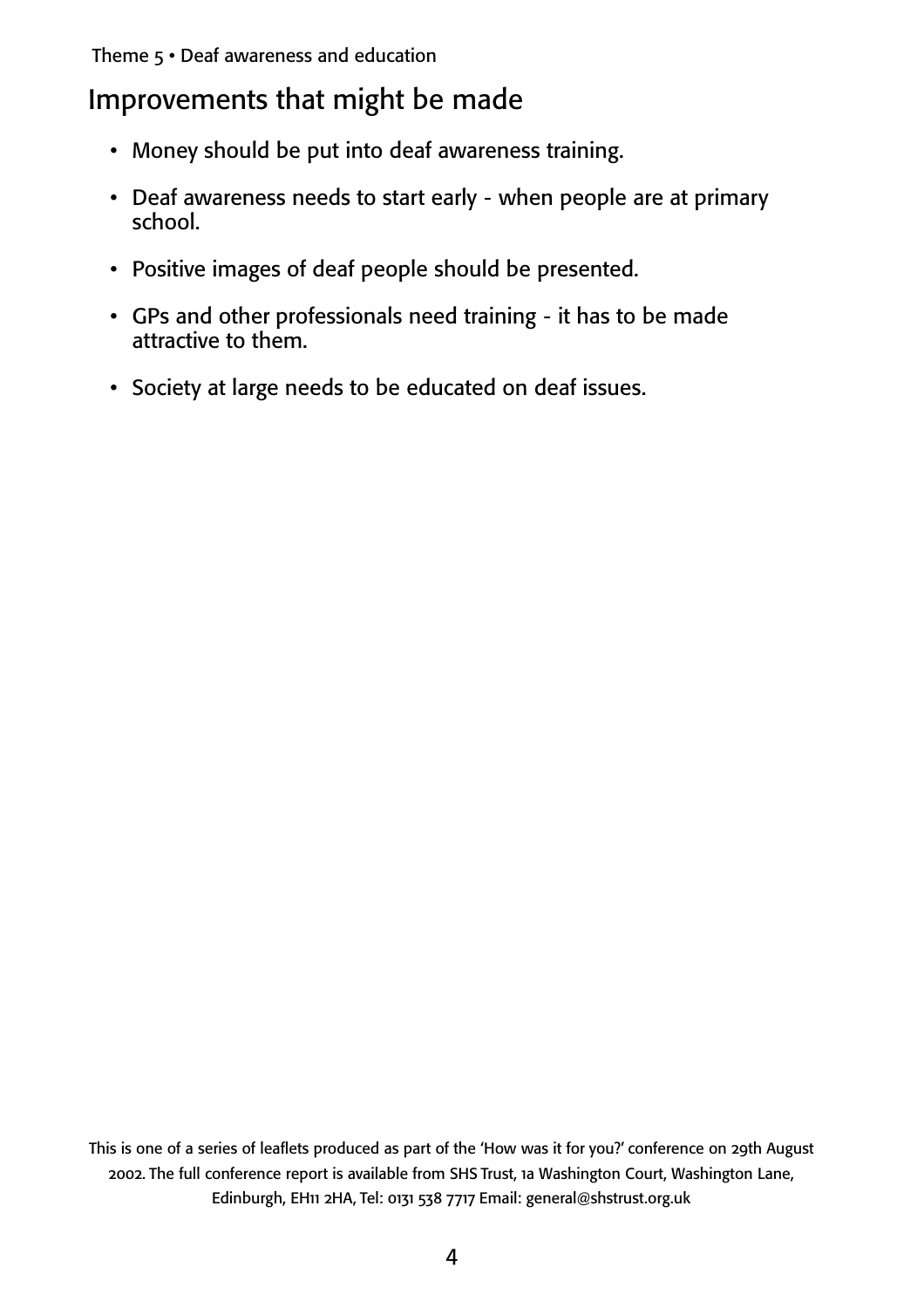## Improvements that might be made

- Money should be put into deaf awareness training.
- Deaf awareness needs to start early when people are at primary school.
- Positive images of deaf people should be presented.
- GPs and other professionals need training it has to be made attractive to them.
- Society at large needs to be educated on deaf issues.

This is one of a series of leaflets produced as part of the 'How was it for you?' conference on 29th August 2002. The full conference report is available from SHS Trust, 1a Washington Court, Washington Lane, Edinburgh, EH11 2HA, Tel: 0131 538 7717 Email: general@shstrust.org.uk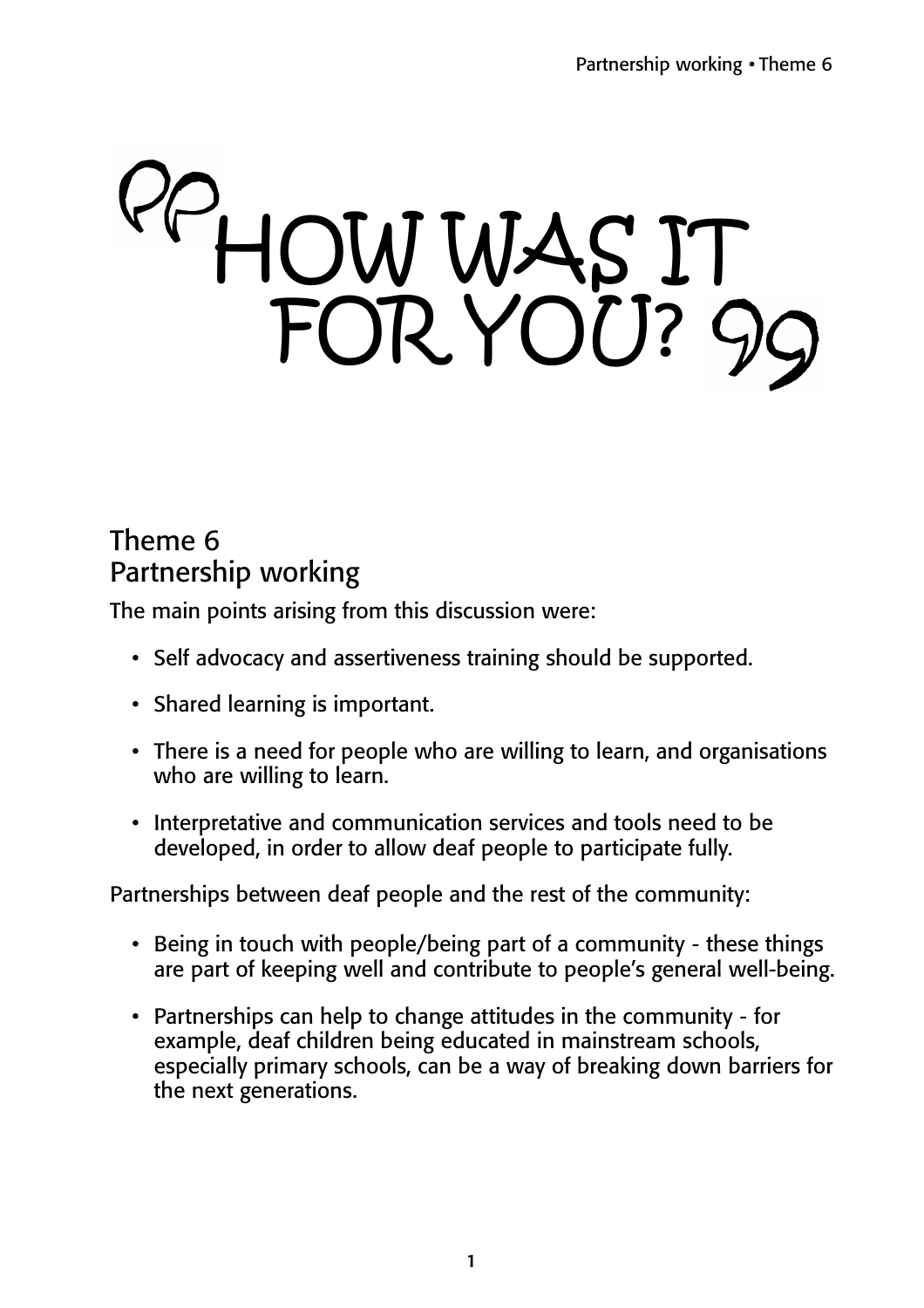# HOW WAS IT FOR YOU?

## Theme 6 Partnership working

The main points arising from this discussion were:

- Self advocacy and assertiveness training should be supported.
- Shared learning is important.
- There is a need for people who are willing to learn, and organisations who are willing to learn.
- Interpretative and communication services and tools need to be developed, in order to allow deaf people to participate fully.

Partnerships between deaf people and the rest of the community:

- Being in touch with people/being part of a community these things are part of keeping well and contribute to people's general well-being.
- Partnerships can help to change attitudes in the community for example, deaf children being educated in mainstream schools, especially primary schools, can be a way of breaking down barriers for the next generations.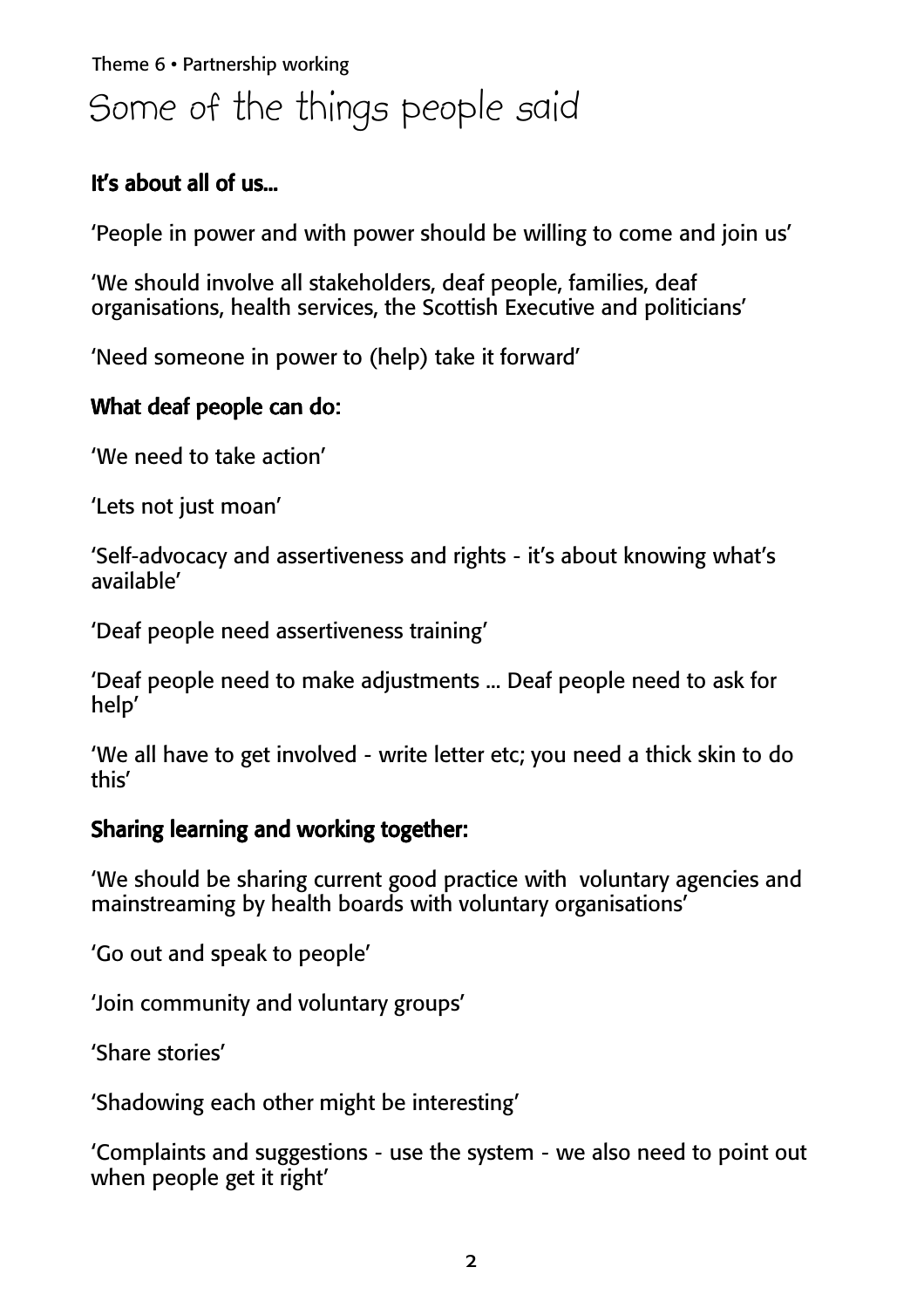# Theme 6 • Partnership working Some of the things people said

#### It's about all of us...

'People in power and with power should be willing to come and join us'

'We should involve all stakeholders, deaf people, families, deaf organisations, health services, the Scottish Executive and politicians'

'Need someone in power to (help) take it forward'

#### What deaf people can do:

'We need to take action'

'Lets not just moan'

'Self-advocacy and assertiveness and rights - it's about knowing what's available'

'Deaf people need assertiveness training'

'Deaf people need to make adjustments ... Deaf people need to ask for help'

'We all have to get involved - write letter etc; you need a thick skin to do this'

#### Sharing learning and working together:

'We should be sharing current good practice with voluntary agencies and mainstreaming by health boards with voluntary organisations'

'Go out and speak to people'

'Join community and voluntary groups'

'Share stories'

'Shadowing each other might be interesting'

'Complaints and suggestions - use the system - we also need to point out when people get it right'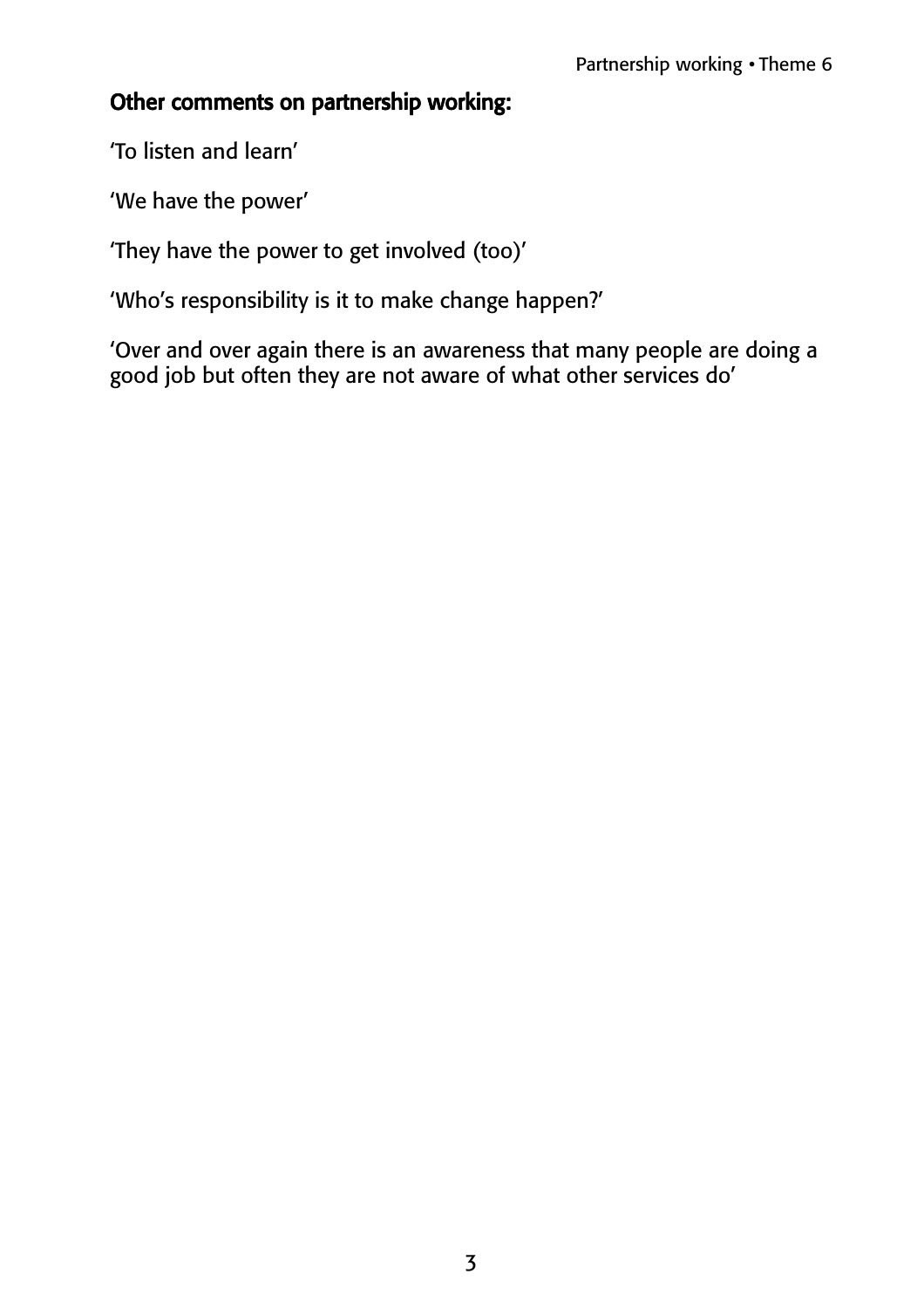#### Other comments on partnership working:

'To listen and learn'

'We have the power'

'They have the power to get involved (too)'

'Who's responsibility is it to make change happen?'

'Over and over again there is an awareness that many people are doing a good job but often they are not aware of what other services do'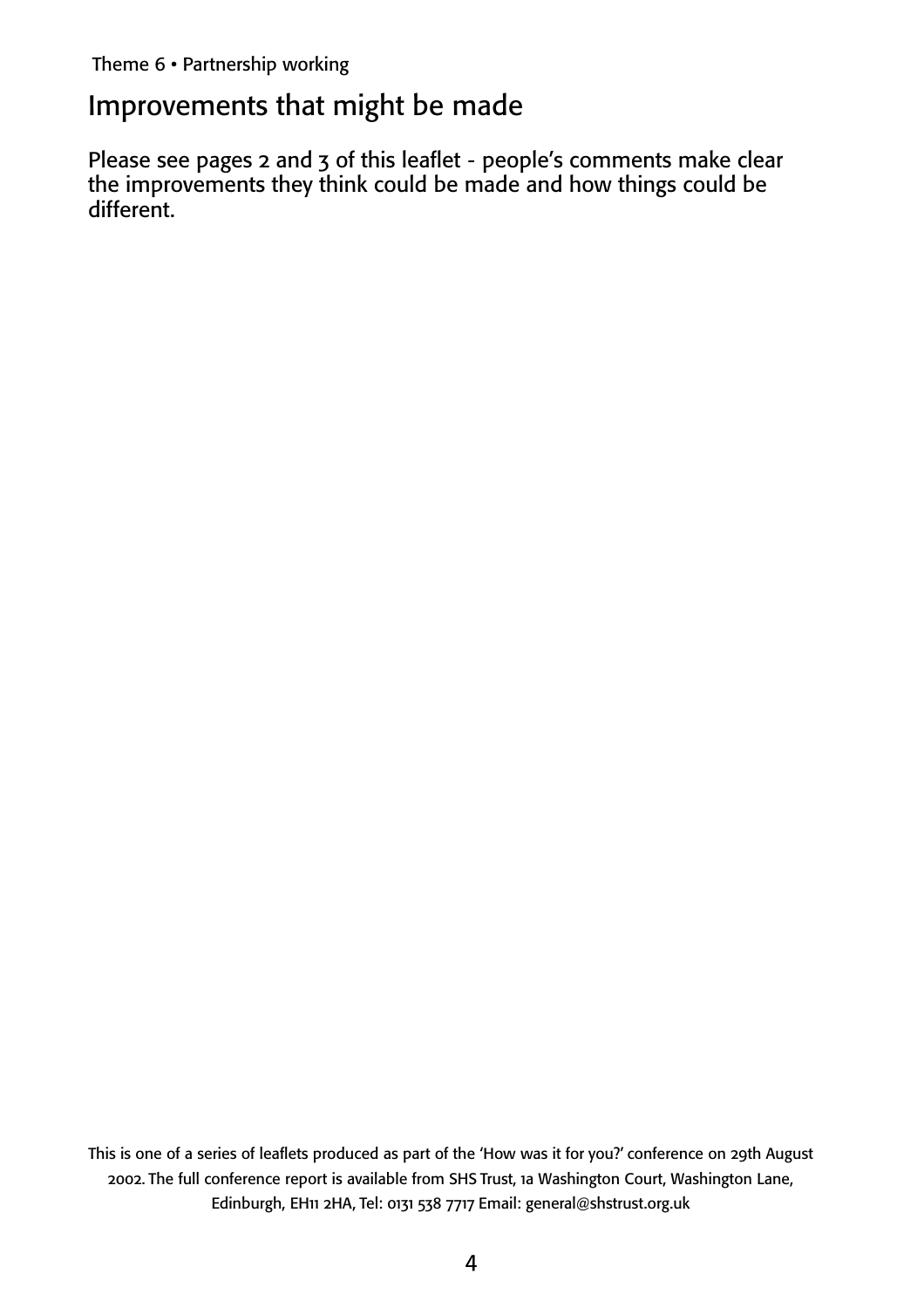### Improvements that might be made

Please see pages 2 and 3 of this leaflet - people's comments make clear the improvements they think could be made and how things could be different.

This is one of a series of leaflets produced as part of the 'How was it for you?' conference on 29th August 2002. The full conference report is available from SHS Trust, 1a Washington Court, Washington Lane, Edinburgh, EH11 2HA, Tel: 0131 538 7717 Email: general@shstrust.org.uk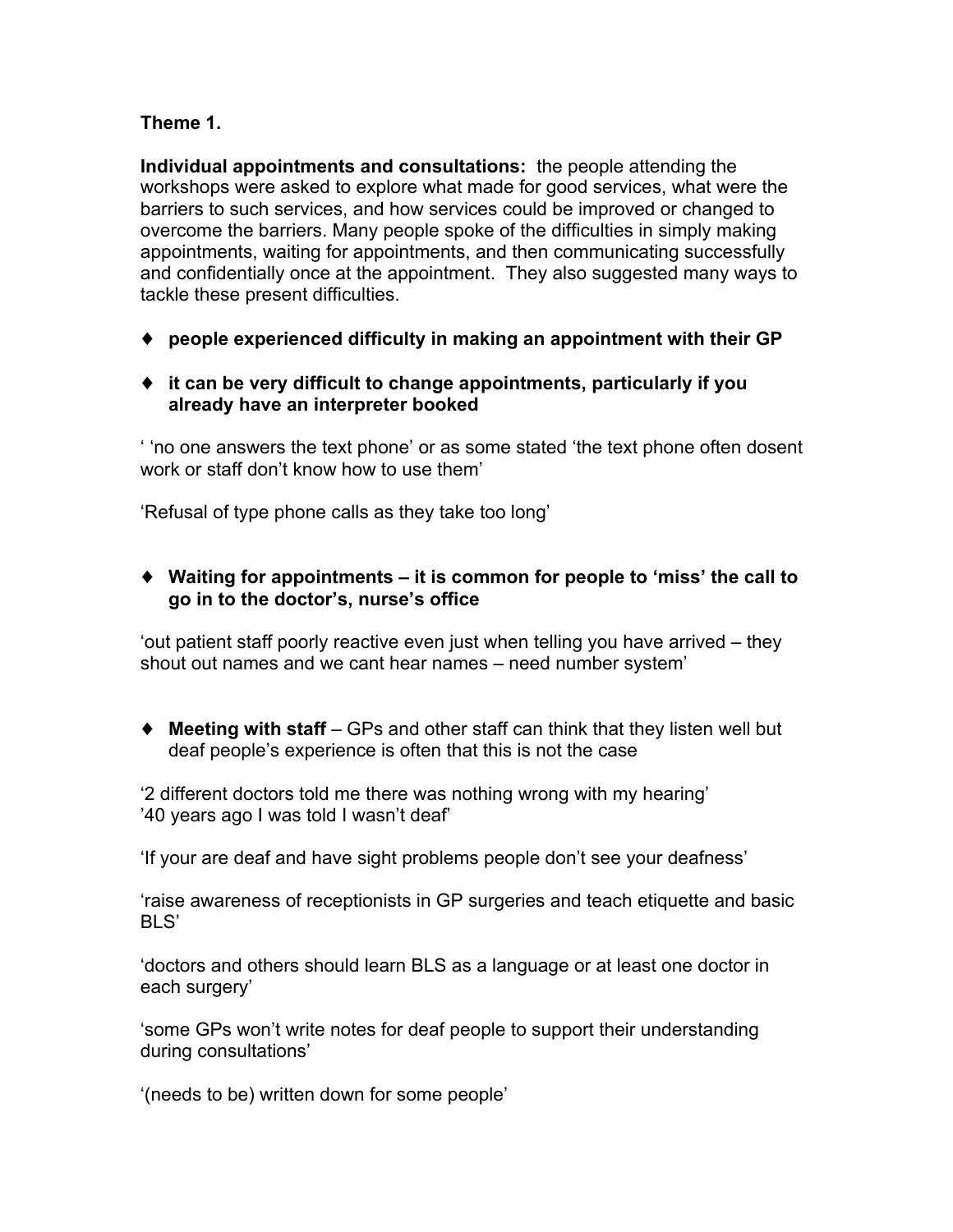#### **Theme 1.**

**Individual appointments and consultations:** the people attending the workshops were asked to explore what made for good services, what were the barriers to such services, and how services could be improved or changed to overcome the barriers. Many people spoke of the difficulties in simply making appointments, waiting for appointments, and then communicating successfully and confidentially once at the appointment. They also suggested many ways to tackle these present difficulties.

- ♦ **people experienced difficulty in making an appointment with their GP**
- ♦ **it can be very difficult to change appointments, particularly if you already have an interpreter booked**

' 'no one answers the text phone' or as some stated 'the text phone often dosent work or staff don't know how to use them'

'Refusal of type phone calls as they take too long'

♦ **Waiting for appointments – it is common for people to 'miss' the call to go in to the doctor's, nurse's office**

'out patient staff poorly reactive even just when telling you have arrived – they shout out names and we cant hear names – need number system'

♦ **Meeting with staff** – GPs and other staff can think that they listen well but deaf people's experience is often that this is not the case

'2 different doctors told me there was nothing wrong with my hearing' '40 years ago I was told I wasn't deaf'

'If your are deaf and have sight problems people don't see your deafness'

'raise awareness of receptionists in GP surgeries and teach etiquette and basic BLS'

'doctors and others should learn BLS as a language or at least one doctor in each surgery'

'some GPs won't write notes for deaf people to support their understanding during consultations'

'(needs to be) written down for some people'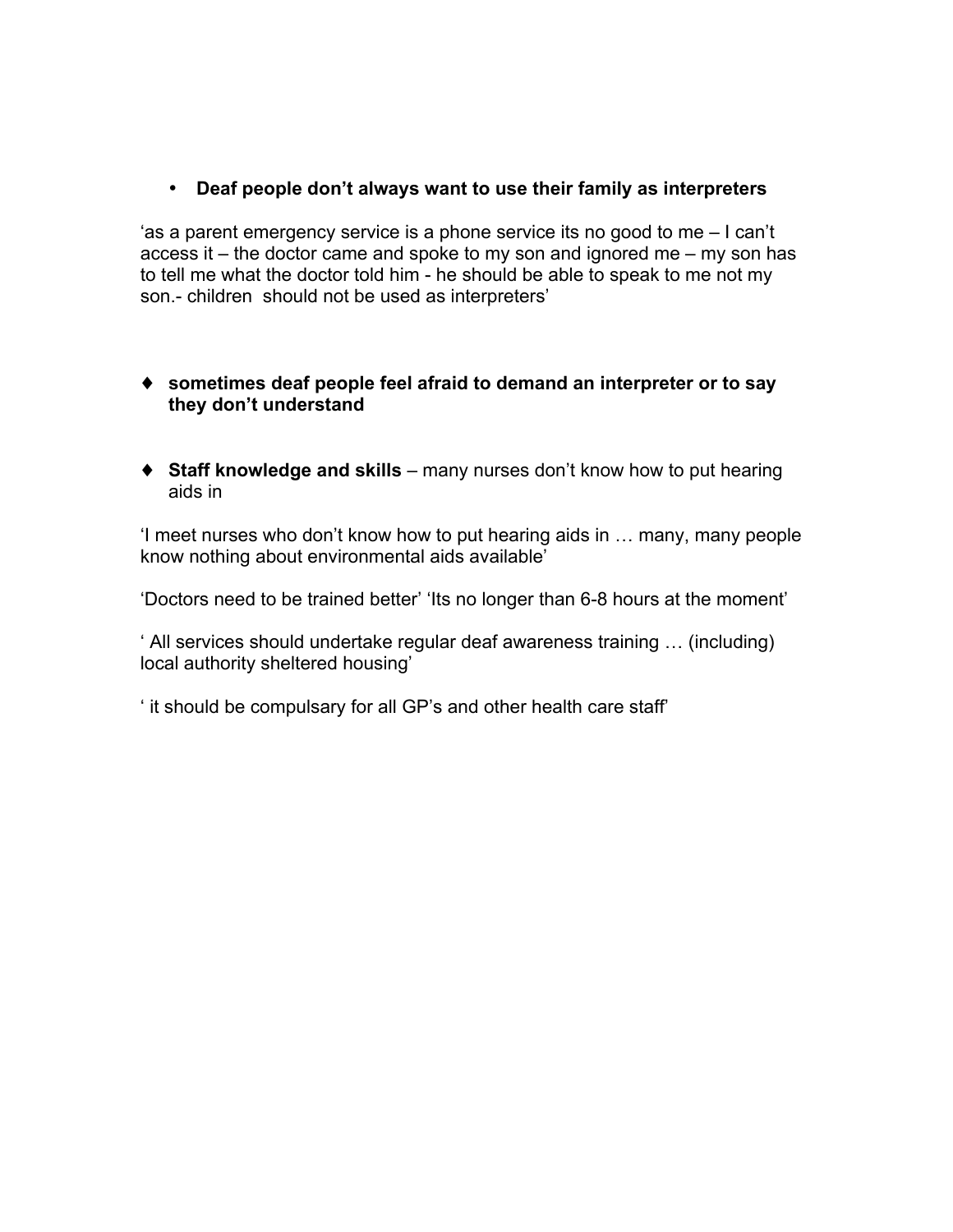• **Deaf people don't always want to use their family as interpreters**

'as a parent emergency service is a phone service its no good to me – I can't access it – the doctor came and spoke to my son and ignored me – my son has to tell me what the doctor told him - he should be able to speak to me not my son.- children should not be used as interpreters'

- ♦ **sometimes deaf people feel afraid to demand an interpreter or to say they don't understand**
- ♦ **Staff knowledge and skills** many nurses don't know how to put hearing aids in

'I meet nurses who don't know how to put hearing aids in … many, many people know nothing about environmental aids available'

'Doctors need to be trained better' 'Its no longer than 6-8 hours at the moment'

' All services should undertake regular deaf awareness training … (including) local authority sheltered housing'

' it should be compulsary for all GP's and other health care staff'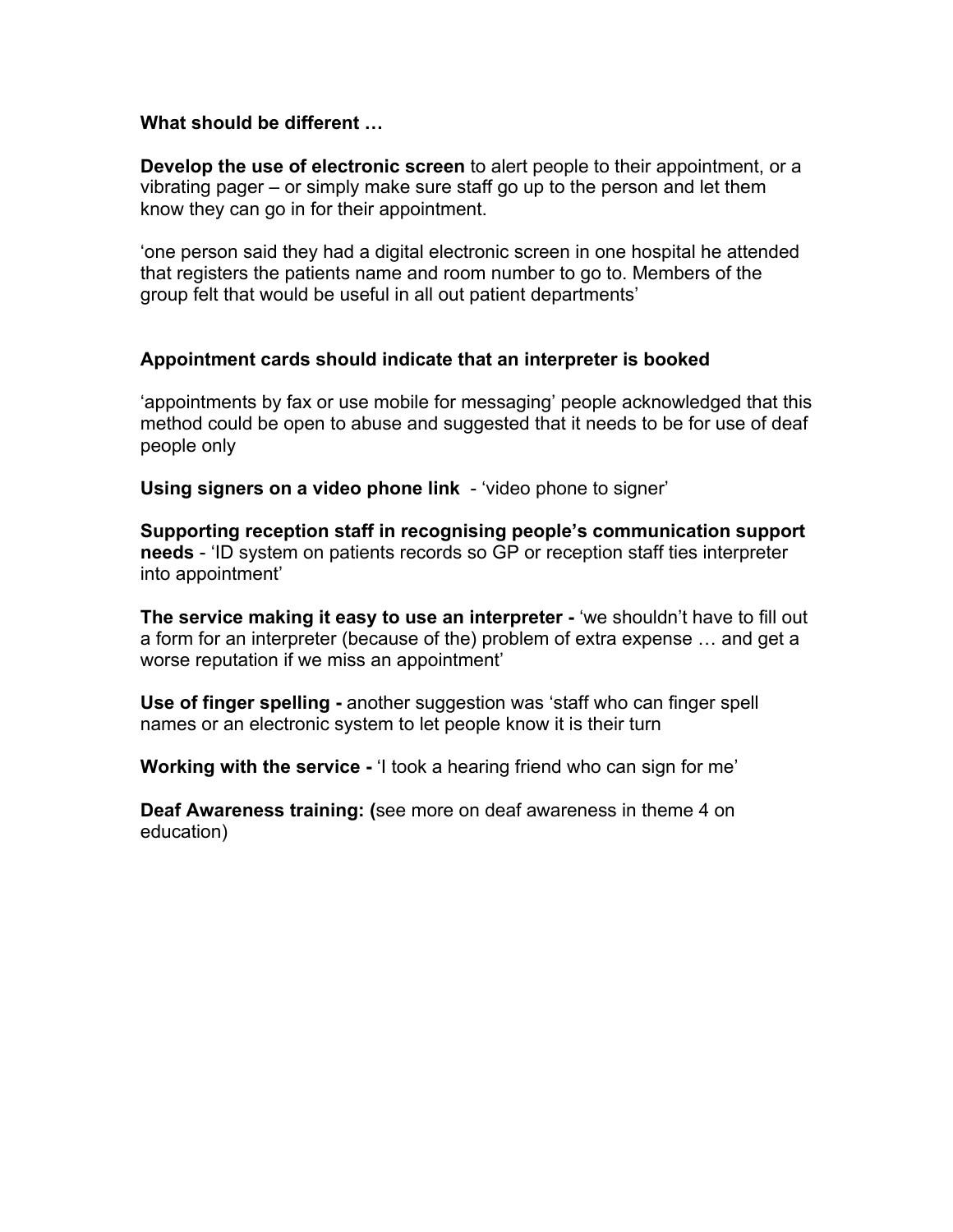#### **What should be different …**

**Develop the use of electronic screen** to alert people to their appointment, or a vibrating pager – or simply make sure staff go up to the person and let them know they can go in for their appointment.

'one person said they had a digital electronic screen in one hospital he attended that registers the patients name and room number to go to. Members of the group felt that would be useful in all out patient departments'

#### **Appointment cards should indicate that an interpreter is booked**

'appointments by fax or use mobile for messaging' people acknowledged that this method could be open to abuse and suggested that it needs to be for use of deaf people only

**Using signers on a video phone link** - 'video phone to signer'

**Supporting reception staff in recognising people's communication support needs** - 'ID system on patients records so GP or reception staff ties interpreter into appointment'

**The service making it easy to use an interpreter -** 'we shouldn't have to fill out a form for an interpreter (because of the) problem of extra expense … and get a worse reputation if we miss an appointment'

**Use of finger spelling -** another suggestion was 'staff who can finger spell names or an electronic system to let people know it is their turn

**Working with the service -** 'I took a hearing friend who can sign for me'

**Deaf Awareness training: (**see more on deaf awareness in theme 4 on education)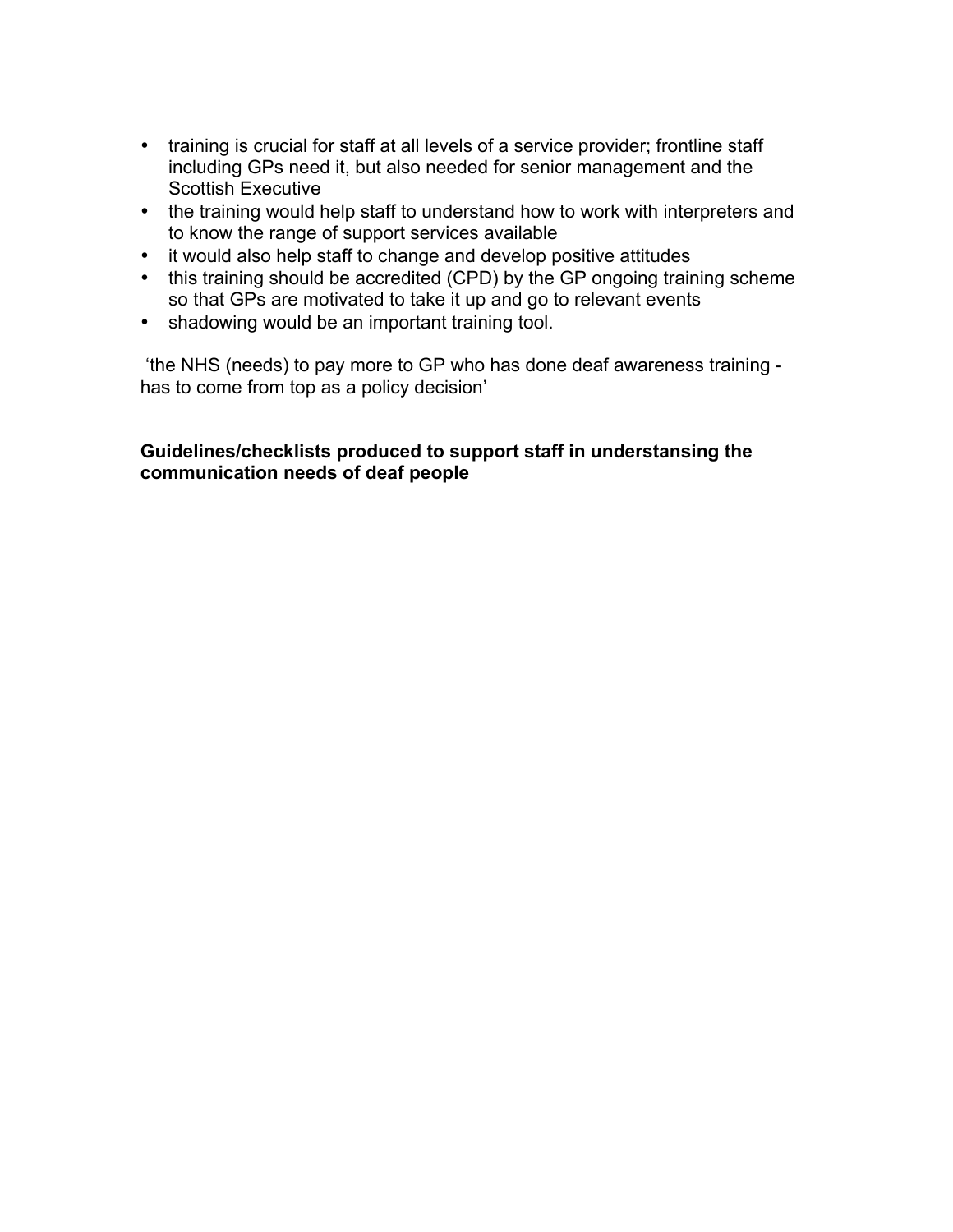- training is crucial for staff at all levels of a service provider; frontline staff including GPs need it, but also needed for senior management and the Scottish Executive
- the training would help staff to understand how to work with interpreters and to know the range of support services available
- it would also help staff to change and develop positive attitudes
- this training should be accredited (CPD) by the GP ongoing training scheme so that GPs are motivated to take it up and go to relevant events
- shadowing would be an important training tool.

'the NHS (needs) to pay more to GP who has done deaf awareness training has to come from top as a policy decision'

#### **Guidelines/checklists produced to support staff in understansing the communication needs of deaf people**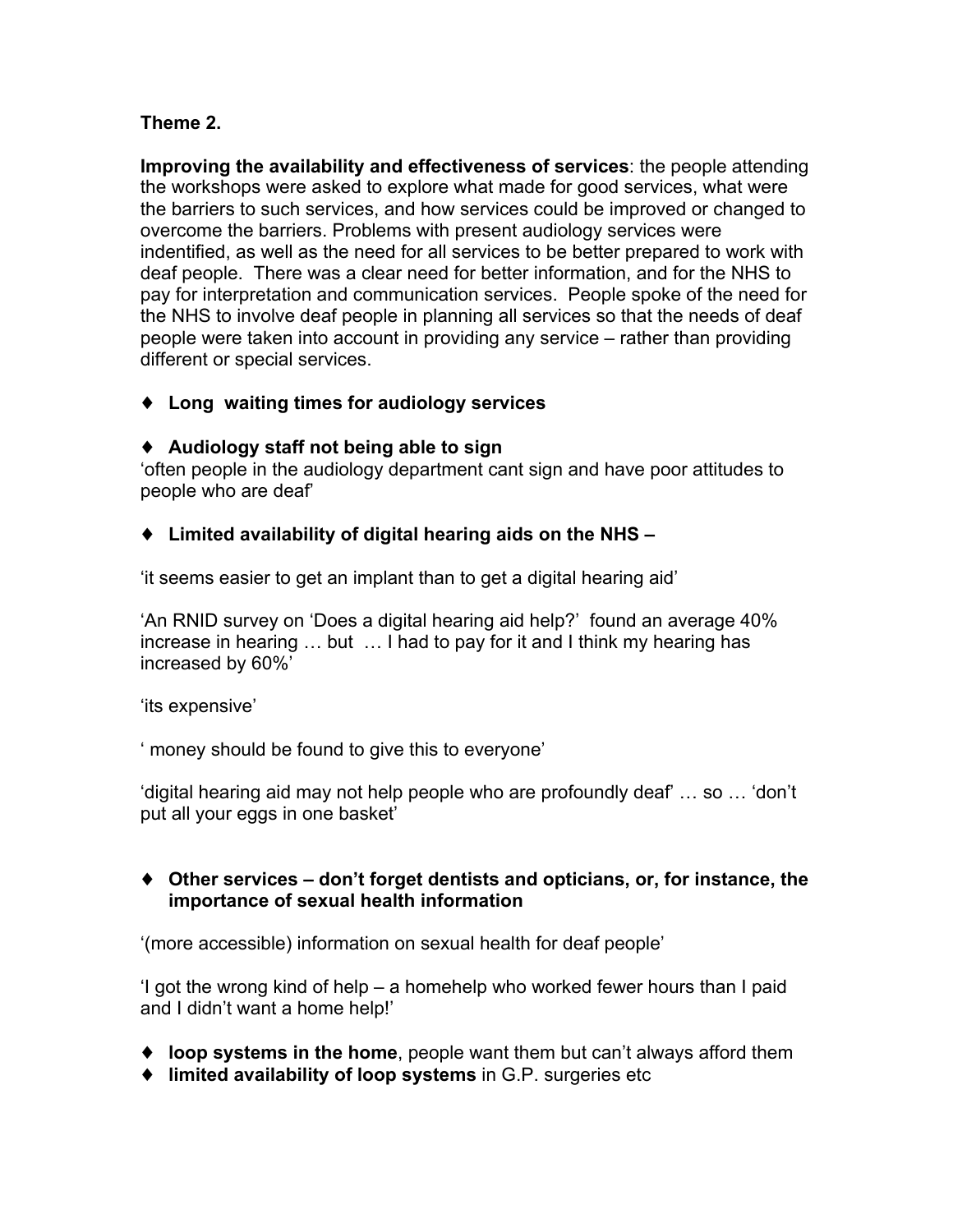#### **Theme 2.**

**Improving the availability and effectiveness of services**: the people attending the workshops were asked to explore what made for good services, what were the barriers to such services, and how services could be improved or changed to overcome the barriers. Problems with present audiology services were indentified, as well as the need for all services to be better prepared to work with deaf people. There was a clear need for better information, and for the NHS to pay for interpretation and communication services. People spoke of the need for the NHS to involve deaf people in planning all services so that the needs of deaf people were taken into account in providing any service – rather than providing different or special services.

♦ **Long waiting times for audiology services**

#### ♦ **Audiology staff not being able to sign**

'often people in the audiology department cant sign and have poor attitudes to people who are deaf'

#### ♦ **Limited availability of digital hearing aids on the NHS –**

'it seems easier to get an implant than to get a digital hearing aid'

'An RNID survey on 'Does a digital hearing aid help?' found an average 40% increase in hearing … but … I had to pay for it and I think my hearing has increased by 60%'

'its expensive'

' money should be found to give this to everyone'

'digital hearing aid may not help people who are profoundly deaf' … so … 'don't put all your eggs in one basket'

#### ♦ **Other services – don't forget dentists and opticians, or, for instance, the importance of sexual health information**

'(more accessible) information on sexual health for deaf people'

'I got the wrong kind of help – a homehelp who worked fewer hours than I paid and I didn't want a home help!'

- ♦ **loop systems in the home**, people want them but can't always afford them
- ♦ **limited availability of loop systems** in G.P. surgeries etc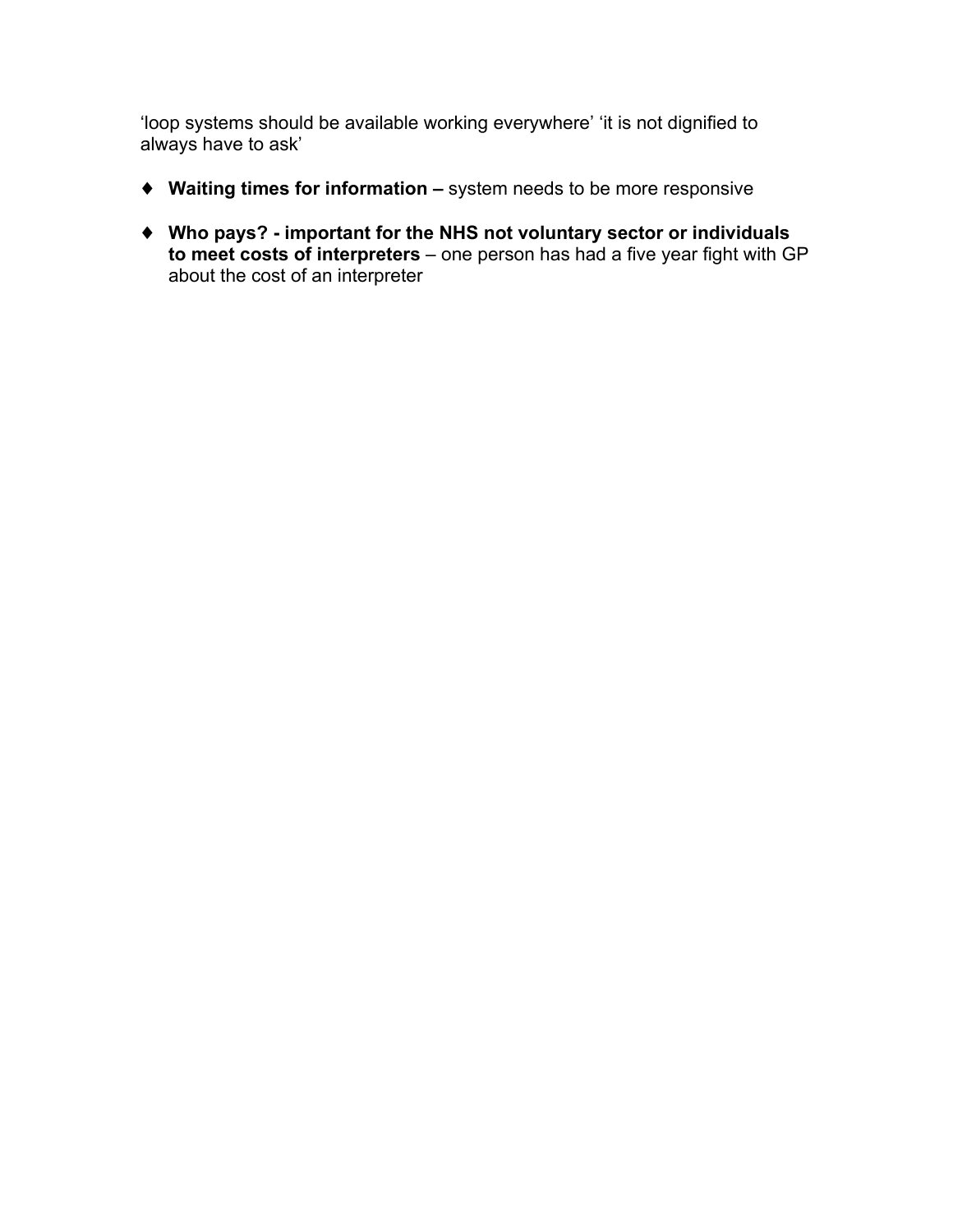'loop systems should be available working everywhere' 'it is not dignified to always have to ask'

- ♦ **Waiting times for information –** system needs to be more responsive
- ♦ **Who pays? - important for the NHS not voluntary sector or individuals to meet costs of interpreters** – one person has had a five year fight with GP about the cost of an interpreter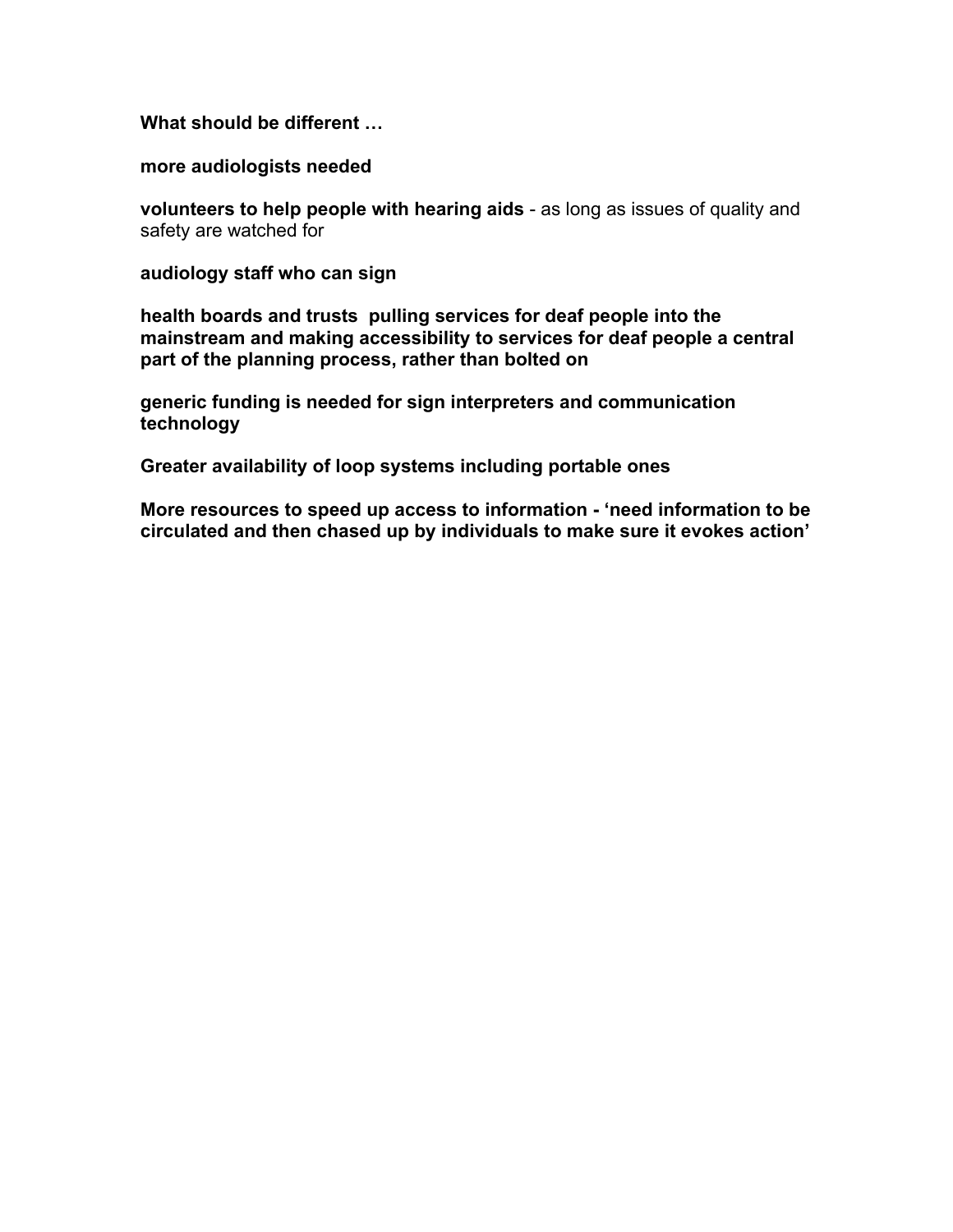**What should be different …**

**more audiologists needed**

**volunteers to help people with hearing aids** - as long as issues of quality and safety are watched for

**audiology staff who can sign**

**health boards and trusts pulling services for deaf people into the mainstream and making accessibility to services for deaf people a central part of the planning process, rather than bolted on**

**generic funding is needed for sign interpreters and communication technology**

**Greater availability of loop systems including portable ones**

**More resources to speed up access to information - 'need information to be circulated and then chased up by individuals to make sure it evokes action'**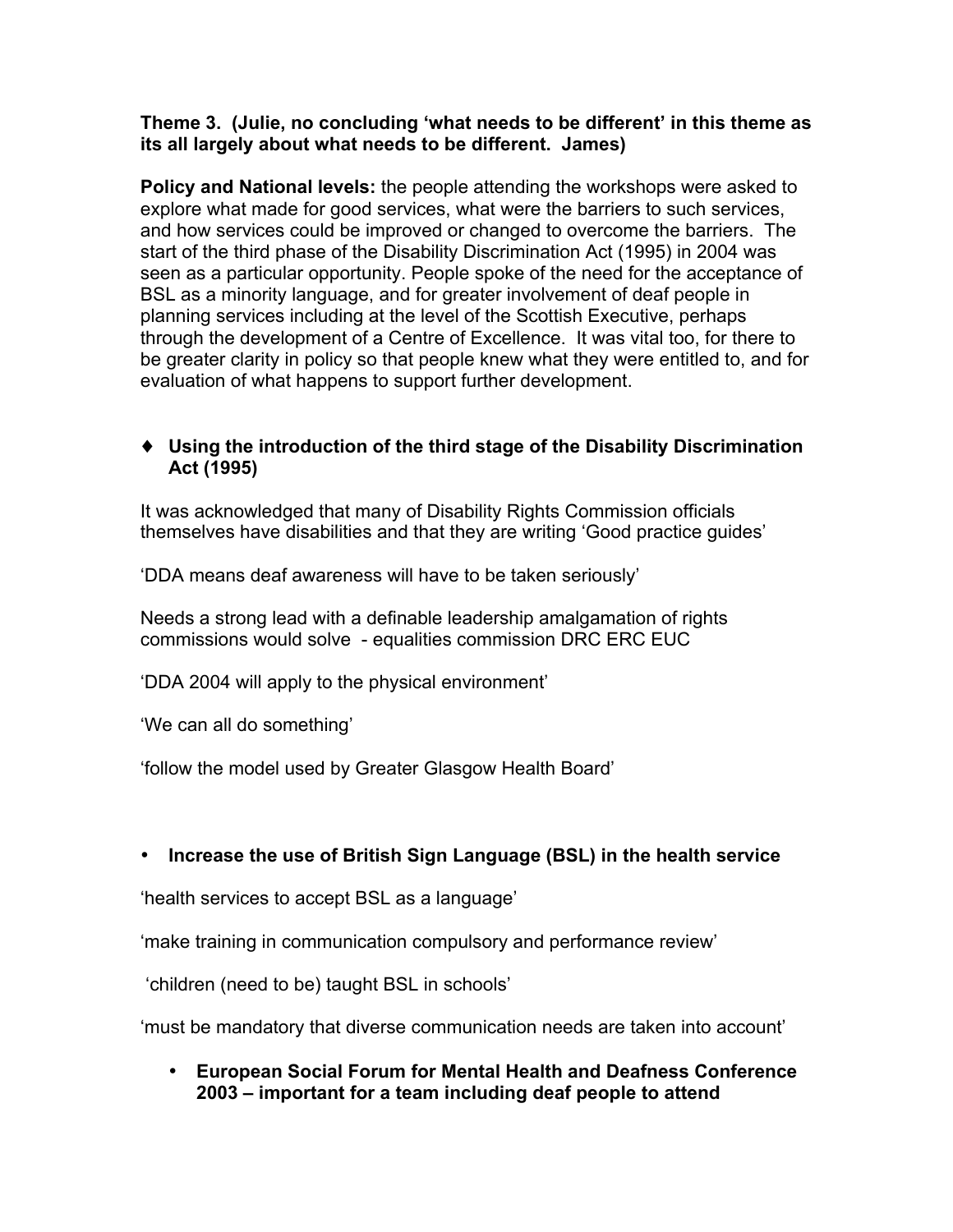#### **Theme 3. (Julie, no concluding 'what needs to be different' in this theme as its all largely about what needs to be different. James)**

**Policy and National levels:** the people attending the workshops were asked to explore what made for good services, what were the barriers to such services, and how services could be improved or changed to overcome the barriers. The start of the third phase of the Disability Discrimination Act (1995) in 2004 was seen as a particular opportunity. People spoke of the need for the acceptance of BSL as a minority language, and for greater involvement of deaf people in planning services including at the level of the Scottish Executive, perhaps through the development of a Centre of Excellence. It was vital too, for there to be greater clarity in policy so that people knew what they were entitled to, and for evaluation of what happens to support further development.

#### ♦ **Using the introduction of the third stage of the Disability Discrimination Act (1995)**

It was acknowledged that many of Disability Rights Commission officials themselves have disabilities and that they are writing 'Good practice guides'

'DDA means deaf awareness will have to be taken seriously'

Needs a strong lead with a definable leadership amalgamation of rights commissions would solve - equalities commission DRC ERC EUC

'DDA 2004 will apply to the physical environment'

'We can all do something'

'follow the model used by Greater Glasgow Health Board'

#### • **Increase the use of British Sign Language (BSL) in the health service**

'health services to accept BSL as a language'

'make training in communication compulsory and performance review'

'children (need to be) taught BSL in schools'

'must be mandatory that diverse communication needs are taken into account'

• **European Social Forum for Mental Health and Deafness Conference 2003 – important for a team including deaf people to attend**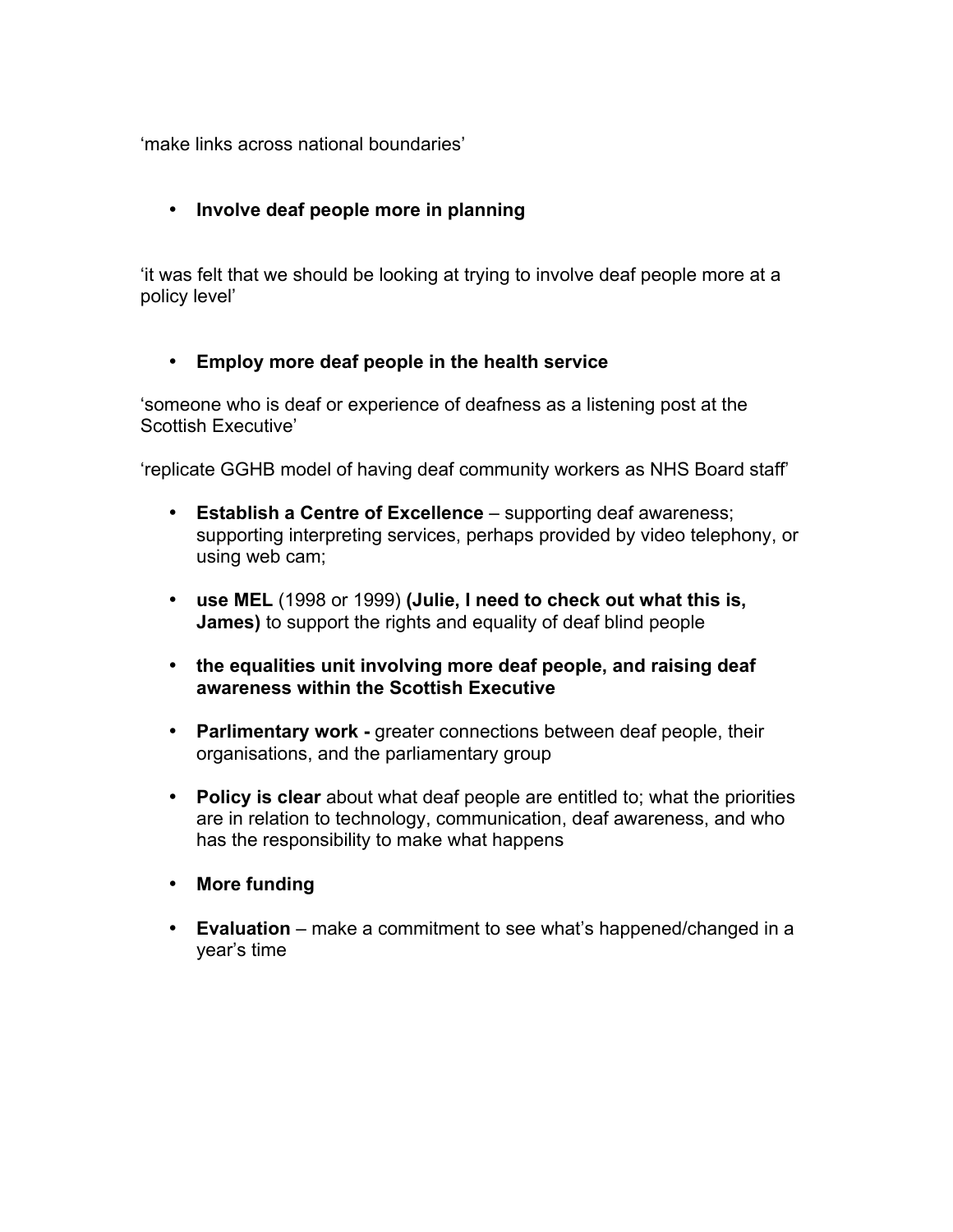'make links across national boundaries'

#### • **Involve deaf people more in planning**

'it was felt that we should be looking at trying to involve deaf people more at a policy level'

#### • **Employ more deaf people in the health service**

'someone who is deaf or experience of deafness as a listening post at the Scottish Executive'

'replicate GGHB model of having deaf community workers as NHS Board staff'

- **Establish a Centre of Excellence**  supporting deaf awareness; supporting interpreting services, perhaps provided by video telephony, or using web cam;
- **use MEL** (1998 or 1999) **(Julie, I need to check out what this is, James)** to support the rights and equality of deaf blind people
- **the equalities unit involving more deaf people, and raising deaf awareness within the Scottish Executive**
- **Parlimentary work -** greater connections between deaf people, their organisations, and the parliamentary group
- **Policy is clear** about what deaf people are entitled to; what the priorities are in relation to technology, communication, deaf awareness, and who has the responsibility to make what happens
- **More funding**
- **Evaluation** make a commitment to see what's happened/changed in a year's time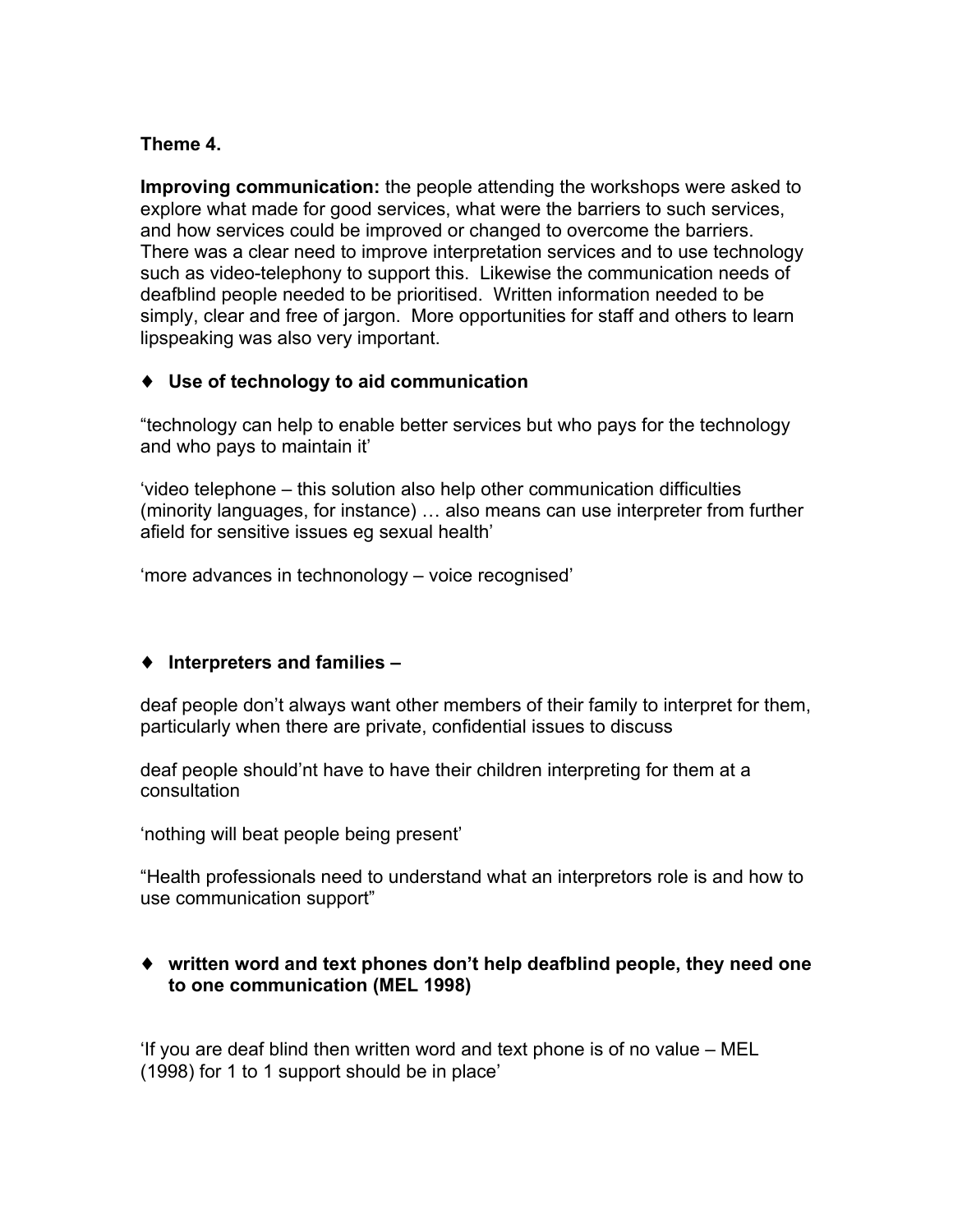#### **Theme 4.**

**Improving communication:** the people attending the workshops were asked to explore what made for good services, what were the barriers to such services, and how services could be improved or changed to overcome the barriers. There was a clear need to improve interpretation services and to use technology such as video-telephony to support this. Likewise the communication needs of deafblind people needed to be prioritised. Written information needed to be simply, clear and free of jargon. More opportunities for staff and others to learn lipspeaking was also very important.

#### ♦ **Use of technology to aid communication**

"technology can help to enable better services but who pays for the technology and who pays to maintain it'

'video telephone – this solution also help other communication difficulties (minority languages, for instance) … also means can use interpreter from further afield for sensitive issues eg sexual health'

'more advances in technonology – voice recognised'

#### ♦ **Interpreters and families –**

deaf people don't always want other members of their family to interpret for them, particularly when there are private, confidential issues to discuss

deaf people should'nt have to have their children interpreting for them at a consultation

'nothing will beat people being present'

"Health professionals need to understand what an interpretors role is and how to use communication support"

#### ♦ **written word and text phones don't help deafblind people, they need one to one communication (MEL 1998)**

'If you are deaf blind then written word and text phone is of no value – MEL (1998) for 1 to 1 support should be in place'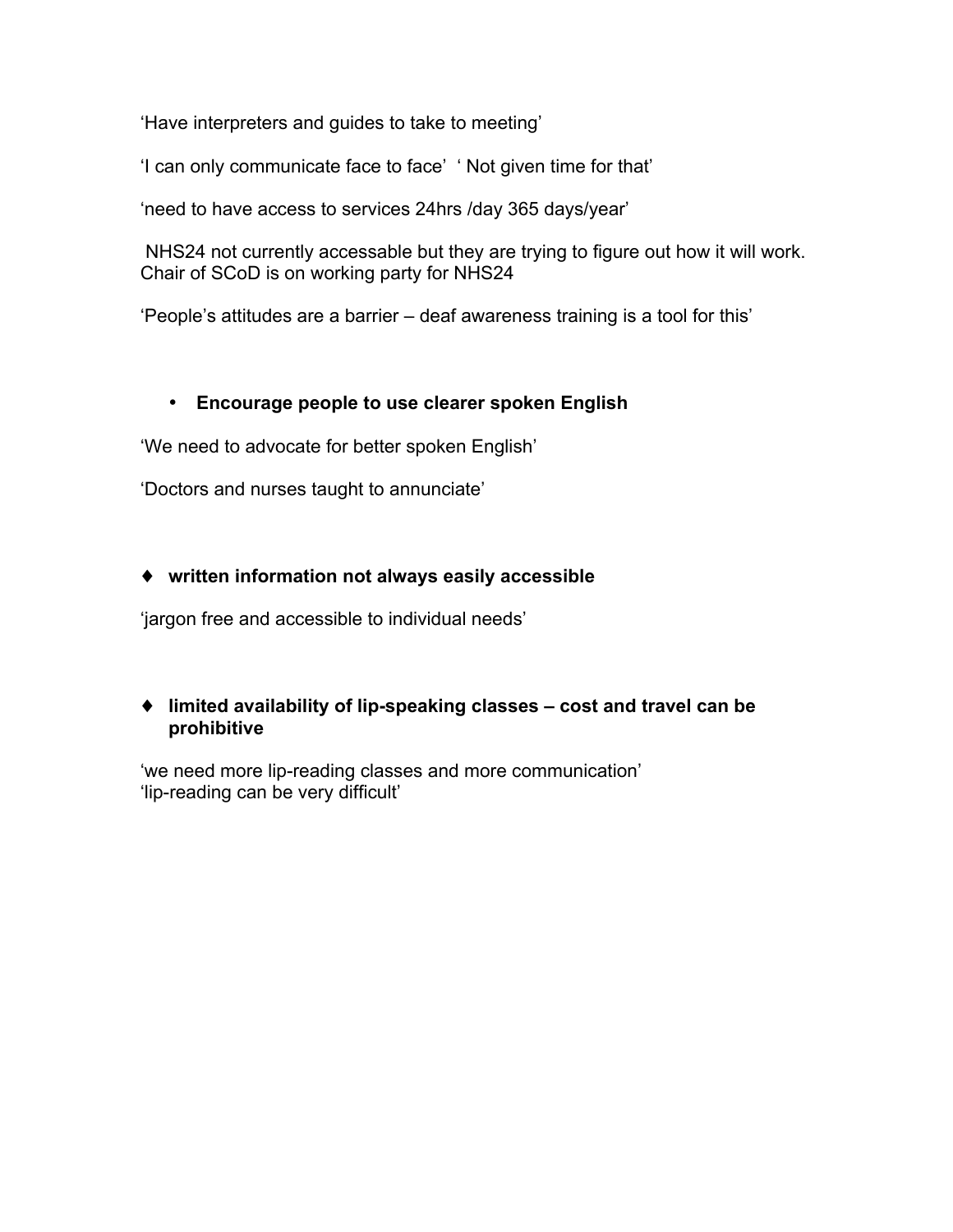'Have interpreters and guides to take to meeting'

'I can only communicate face to face' ' Not given time for that'

'need to have access to services 24hrs /day 365 days/year'

NHS24 not currently accessable but they are trying to figure out how it will work. Chair of SCoD is on working party for NHS24

'People's attitudes are a barrier – deaf awareness training is a tool for this'

#### • **Encourage people to use clearer spoken English**

'We need to advocate for better spoken English'

'Doctors and nurses taught to annunciate'

#### ♦ **written information not always easily accessible**

'jargon free and accessible to individual needs'

#### ♦ **limited availability of lip-speaking classes – cost and travel can be prohibitive**

'we need more lip-reading classes and more communication' 'lip-reading can be very difficult'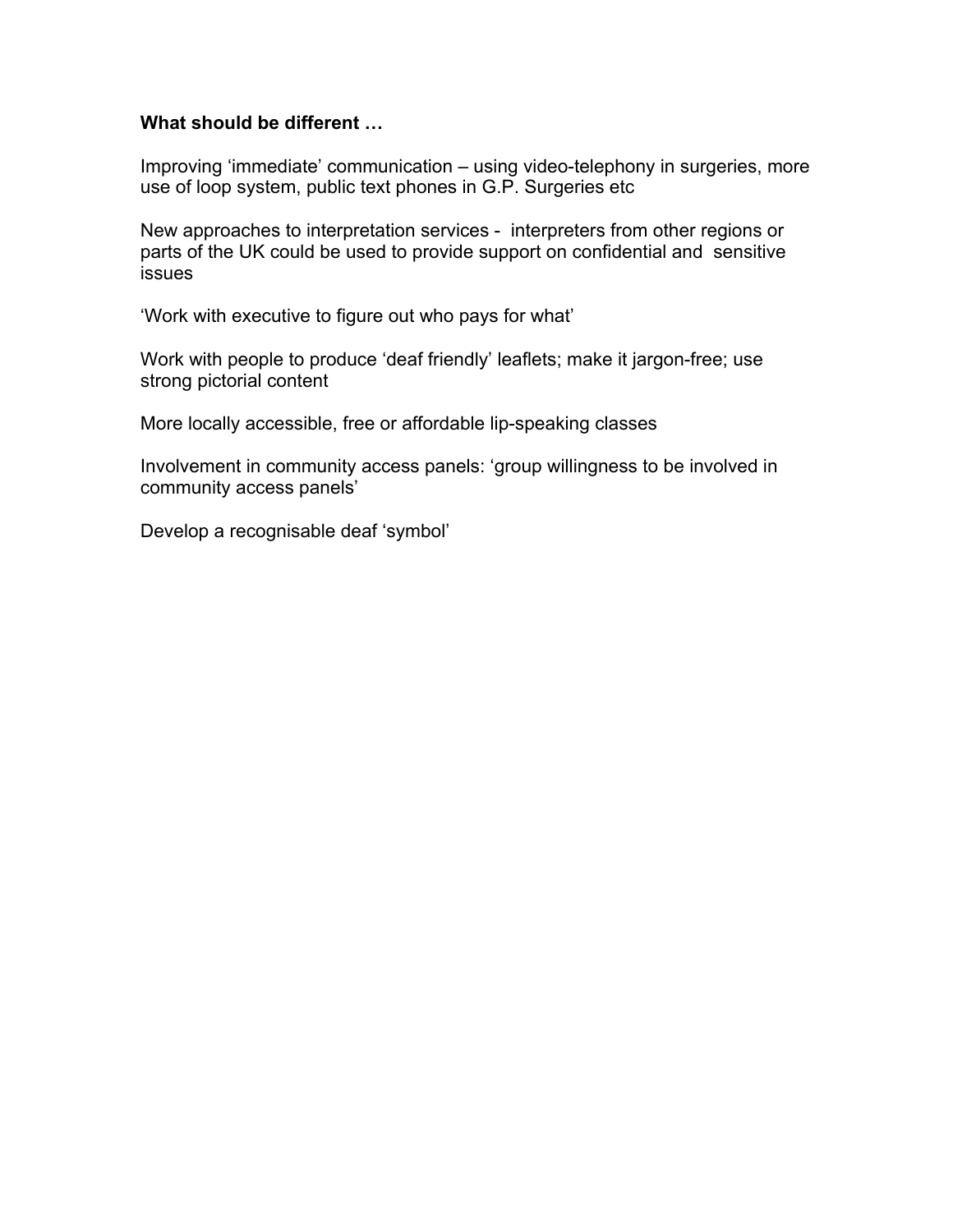#### **What should be different …**

Improving 'immediate' communication – using video-telephony in surgeries, more use of loop system, public text phones in G.P. Surgeries etc

New approaches to interpretation services - interpreters from other regions or parts of the UK could be used to provide support on confidential and sensitive issues

'Work with executive to figure out who pays for what'

Work with people to produce 'deaf friendly' leaflets; make it jargon-free; use strong pictorial content

More locally accessible, free or affordable lip-speaking classes

Involvement in community access panels: 'group willingness to be involved in community access panels'

Develop a recognisable deaf 'symbol'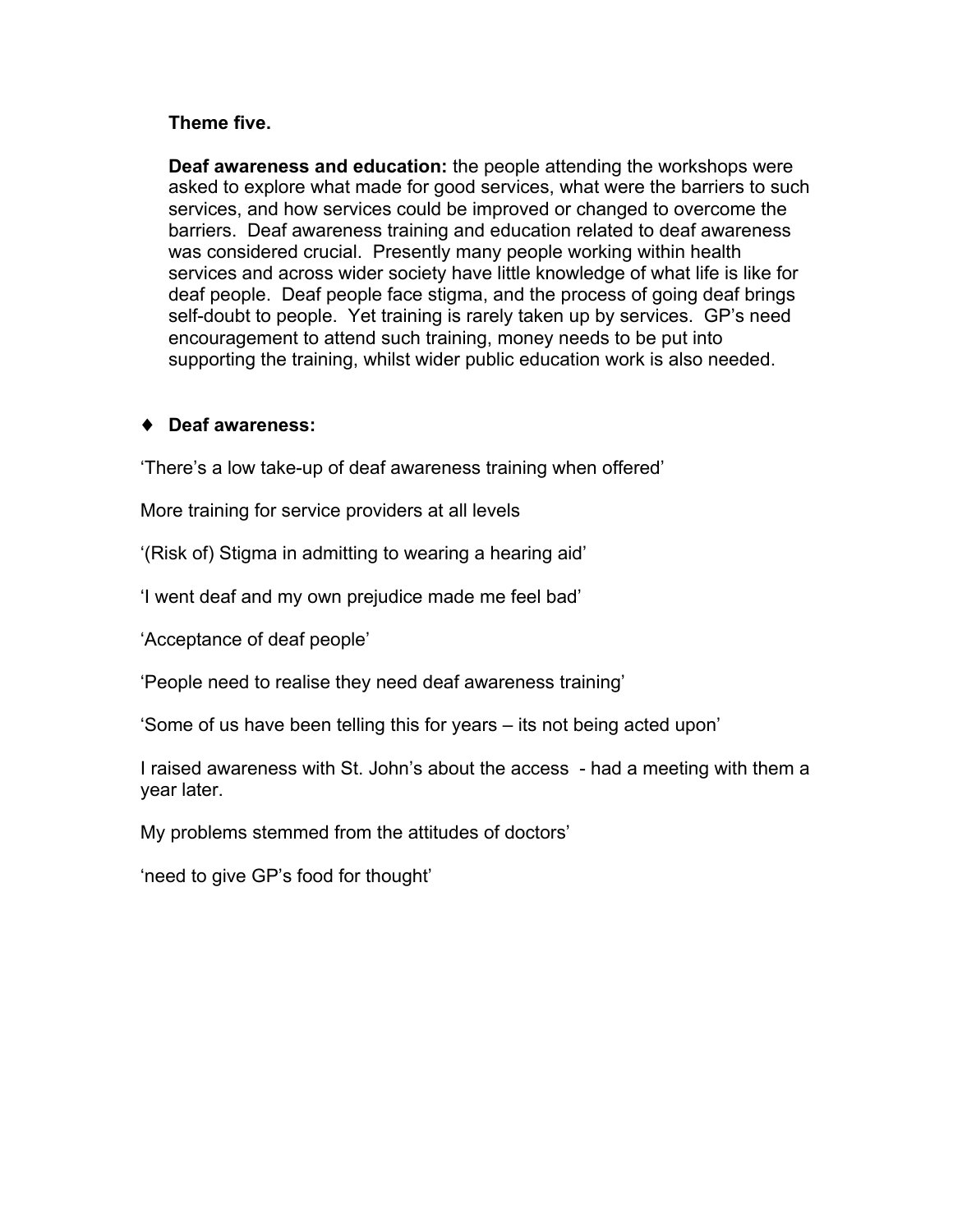#### **Theme five.**

**Deaf awareness and education:** the people attending the workshops were asked to explore what made for good services, what were the barriers to such services, and how services could be improved or changed to overcome the barriers. Deaf awareness training and education related to deaf awareness was considered crucial. Presently many people working within health services and across wider society have little knowledge of what life is like for deaf people. Deaf people face stigma, and the process of going deaf brings self-doubt to people. Yet training is rarely taken up by services. GP's need encouragement to attend such training, money needs to be put into supporting the training, whilst wider public education work is also needed.

#### ♦ **Deaf awareness:**

'There's a low take-up of deaf awareness training when offered'

More training for service providers at all levels

'(Risk of) Stigma in admitting to wearing a hearing aid'

'I went deaf and my own prejudice made me feel bad'

'Acceptance of deaf people'

'People need to realise they need deaf awareness training'

'Some of us have been telling this for years – its not being acted upon'

I raised awareness with St. John's about the access - had a meeting with them a year later.

My problems stemmed from the attitudes of doctors'

'need to give GP's food for thought'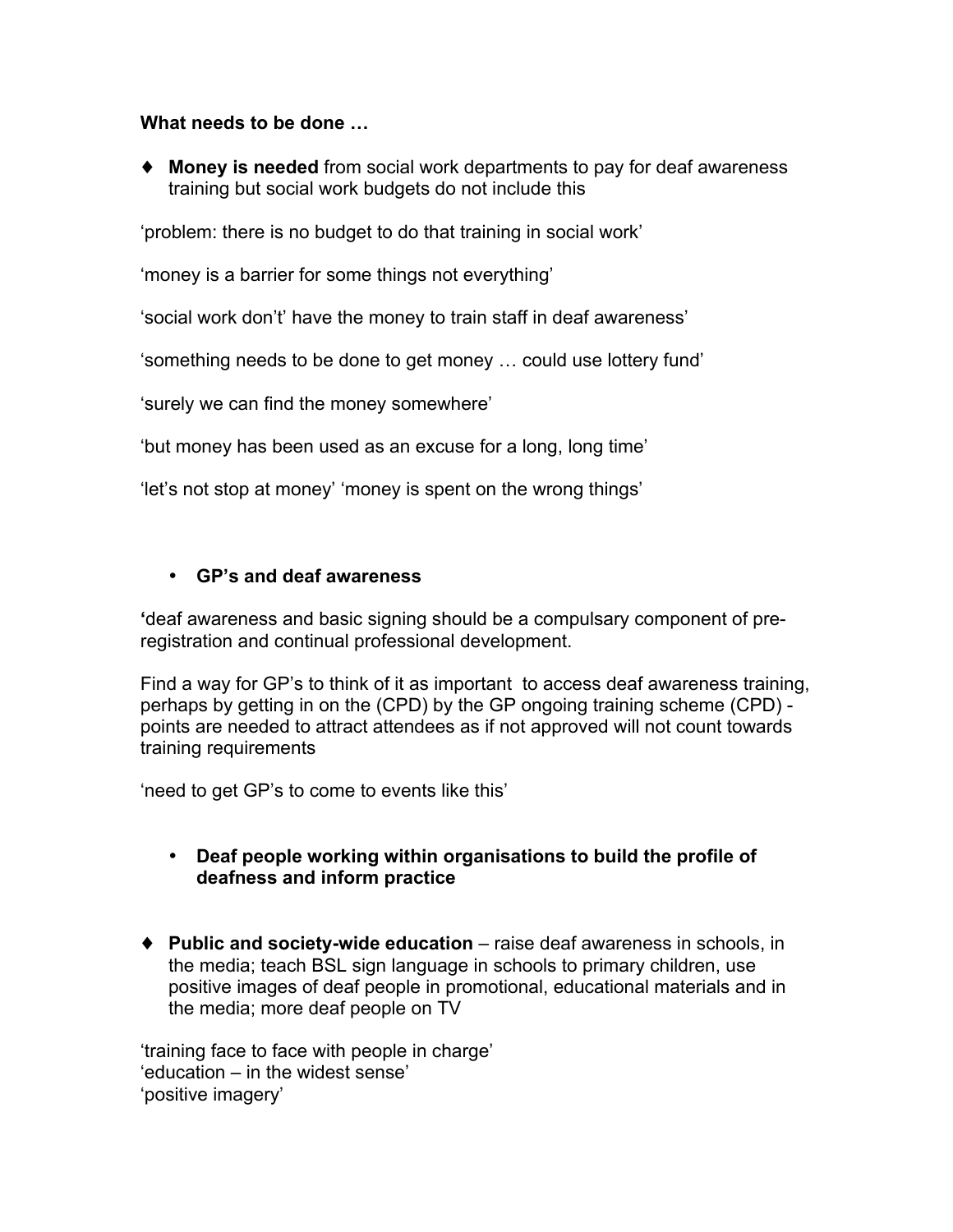#### **What needs to be done …**

♦ **Money is needed** from social work departments to pay for deaf awareness training but social work budgets do not include this

'problem: there is no budget to do that training in social work'

'money is a barrier for some things not everything'

'social work don't' have the money to train staff in deaf awareness'

'something needs to be done to get money … could use lottery fund'

'surely we can find the money somewhere'

'but money has been used as an excuse for a long, long time'

'let's not stop at money' 'money is spent on the wrong things'

#### • **GP's and deaf awareness**

**'**deaf awareness and basic signing should be a compulsary component of preregistration and continual professional development.

Find a way for GP's to think of it as important to access deaf awareness training, perhaps by getting in on the (CPD) by the GP ongoing training scheme (CPD) points are needed to attract attendees as if not approved will not count towards training requirements

'need to get GP's to come to events like this'

#### • **Deaf people working within organisations to build the profile of deafness and inform practice**

♦ **Public and society-wide education** – raise deaf awareness in schools, in the media; teach BSL sign language in schools to primary children, use positive images of deaf people in promotional, educational materials and in the media; more deaf people on TV

'training face to face with people in charge' 'education – in the widest sense' 'positive imagery'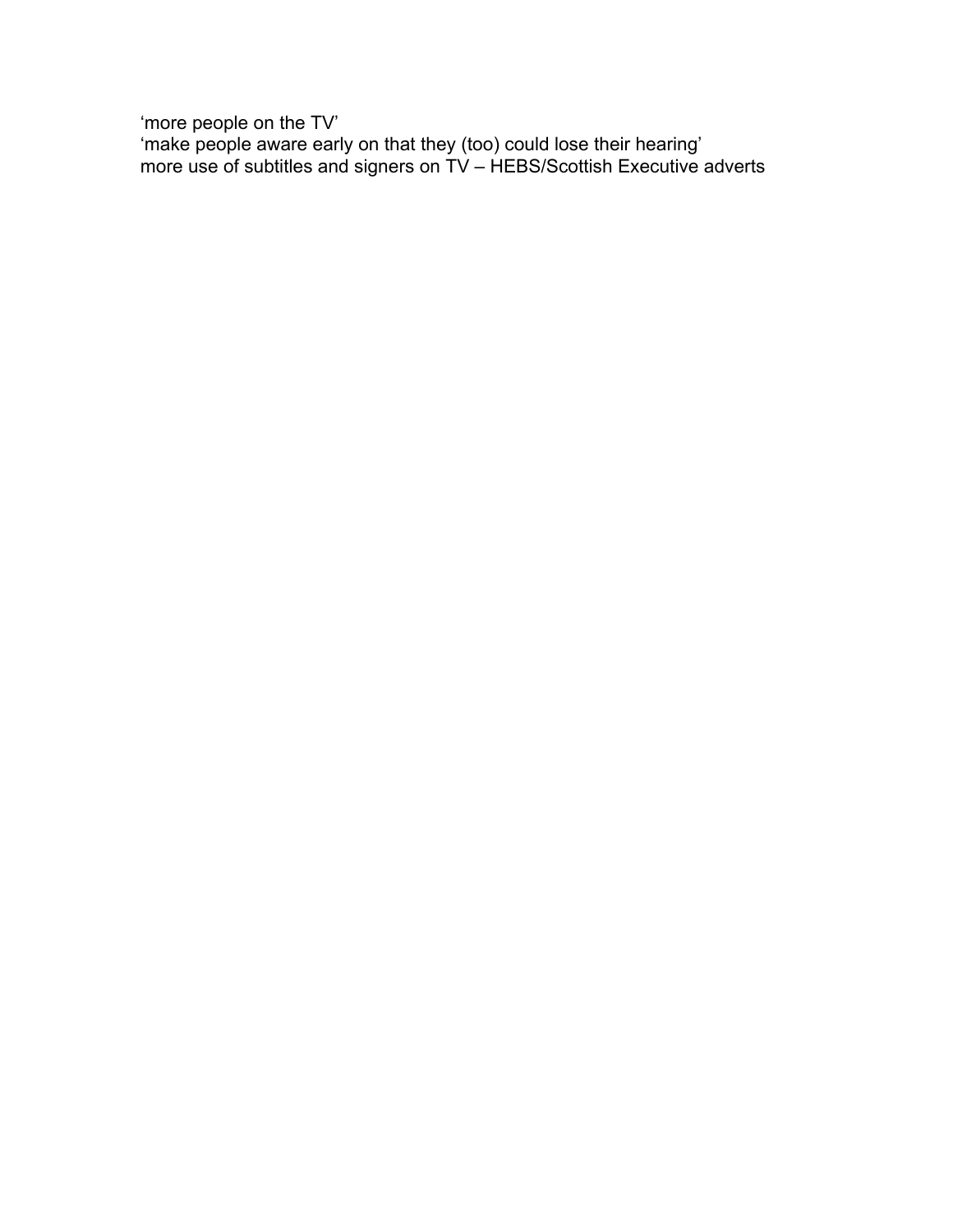'more people on the TV' 'make people aware early on that they (too) could lose their hearing' more use of subtitles and signers on TV – HEBS/Scottish Executive adverts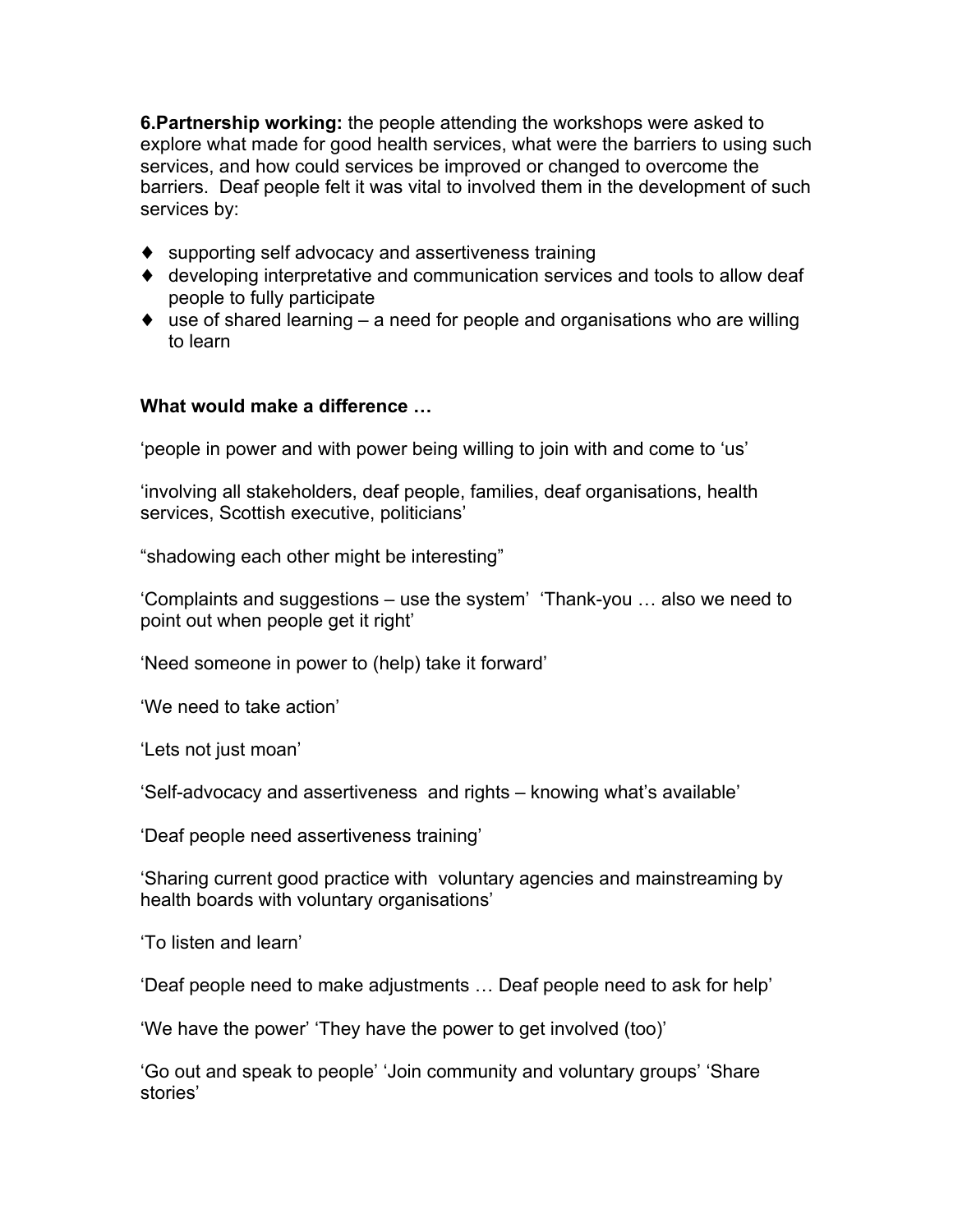**6.Partnership working:** the people attending the workshops were asked to explore what made for good health services, what were the barriers to using such services, and how could services be improved or changed to overcome the barriers. Deaf people felt it was vital to involved them in the development of such services by:

- ♦ supporting self advocacy and assertiveness training
- ♦ developing interpretative and communication services and tools to allow deaf people to fully participate
- ♦ use of shared learning a need for people and organisations who are willing to learn

#### **What would make a difference …**

'people in power and with power being willing to join with and come to 'us'

'involving all stakeholders, deaf people, families, deaf organisations, health services, Scottish executive, politicians'

"shadowing each other might be interesting"

'Complaints and suggestions – use the system' 'Thank-you … also we need to point out when people get it right'

'Need someone in power to (help) take it forward'

'We need to take action'

'Lets not just moan'

'Self-advocacy and assertiveness and rights – knowing what's available'

'Deaf people need assertiveness training'

'Sharing current good practice with voluntary agencies and mainstreaming by health boards with voluntary organisations'

'To listen and learn'

'Deaf people need to make adjustments … Deaf people need to ask for help'

'We have the power' 'They have the power to get involved (too)'

'Go out and speak to people' 'Join community and voluntary groups' 'Share stories'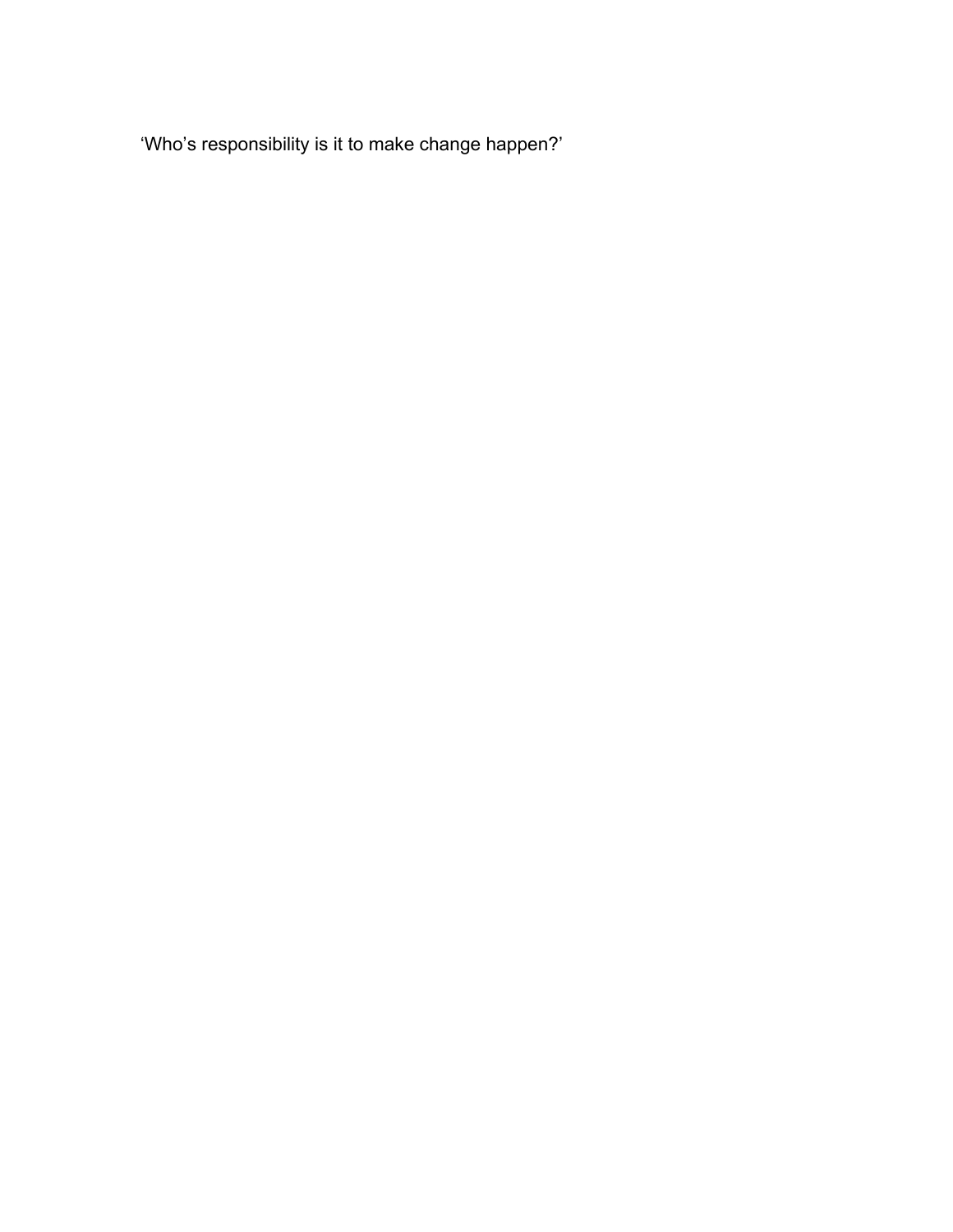'Who's responsibility is it to make change happen?'